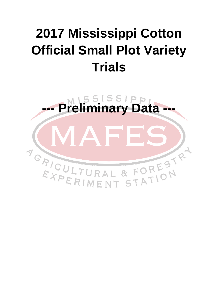# **2017 Mississippi Cotton Official Small Plot Variety Trials**

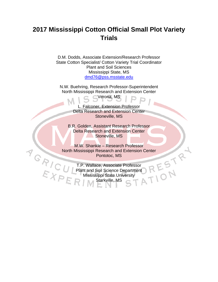# **2017 Mississippi Cotton Official Small Plot Variety Trials**

D.M. Dodds, Associate Extension/Research Professor State Cotton Specialist/ Cotton Variety Trial Coordinator Plant and Soil Sciences Mississippi State, MS dmd76@pss.msstate.edu

N.W. Buehring, Research Professor-Superintendent North Mississippi Research and Extension Center Verona, MS

> L. Falconer, Extension Professor Delta Research and Extension Center Stoneville, MS

B.R. Golden, Assistant Research Professor Delta Research and Extension Center Stoneville, MS

M.W. Shankle – Research Professor North Mississippi Research and Extension Center<br>
Pontotoc, MS<br>
T.P. Wallace, Associate Professor<br>
Plant and Soil Science Department<br>
Mississippi State University<br>
R. M. Starkville, MS Pontotoc, MS

T.P. Wallace, Associate Professor<br>Plant and Soil Science Department<br>Mississippi State University<br>Starkville, MS Plant and Soil Science Department Mississippi State University Starkville, MS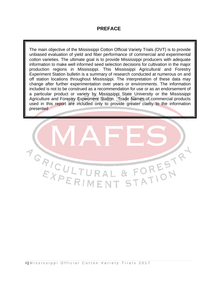## **PREFACE**

The main objective of the Mississippi Cotton Official Variety Trials (OVT) is to provide unbiased evaluation of yield and fiber performance of commercial and experimental cotton varieties. The ultimate goal is to provide Mississippi producers with adequate information to make well informed seed selection decisions for cultivation in the major production regions in Mississippi. This Mississippi Agricultural and Forestry Experiment Station bulletin is a summary of research conducted at numerous on and off station locations throughout Mississippi. The interpretation of these data may change after further experimentation over years or environments. The information included is not to be construed as a recommendation for use or as an endorsement of a particular product or variety by Mississippi State University or the Mississippi Agriculture and Forestry Experiment Station. Trade Names of commercial products used in this report are included only to provide greater clarity to the information presented

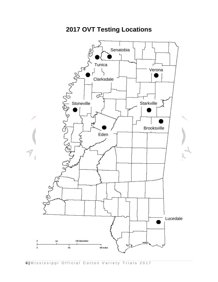

**2017 OVT Testing Locations**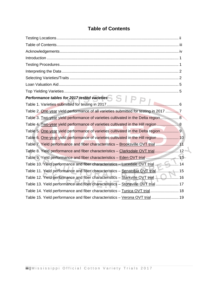# **Table of Contents**

| Table 2. One-year yield performance of all varieties submitted for testing in 2017  7 |  |
|---------------------------------------------------------------------------------------|--|
| Table 3. Two-year yield performance of varieties cultivated in the Delta region 8     |  |
| Table 4. Two-year yield performance of varieties cultivated in the Hill region  8     |  |
| Table 5. One-year yield performance of varieties cultivated in the Delta region 9     |  |
| Table 6. One-year yield performance of varieties cultivated in the Hill region  10    |  |
| Table 7. Yield performance and fiber characteristics - Brooksville OVT trial  11      |  |
| Table 8. Yield performance and fiber characteristics - Clarksdale OVT trial 12        |  |
| Table 9. Yield performance and fiber characteristics - Eden OVT trial  13             |  |
| Table 10. Yield performance and fiber characteristics - Lucedale OVT trial  14        |  |
| Table 11. Yield performance and fiber characteristics - Senatobia OVT trial 15        |  |
| Table 12. Yield performance and fiber characteristics - Starkville OVT trial  16      |  |
| Table 13. Yield performance and fiber characteristics - Stoneville OVT trial  17      |  |
| Table 14. Yield performance and fiber characteristics - Tunica OVT trial 18           |  |
| Table 15. Yield performance and fiber characteristics - Verona OVT trial  19          |  |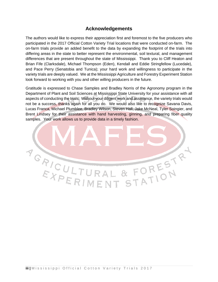## **Acknowledgements**

The authors would like to express their appreciation first and foremost to the five producers who participated in the 2017 Official Cotton Variety Trial locations that were conducted on-farm. The on-farm trials provide an added benefit to the data by expanding the footprint of the trials into differing areas in the state to better represent the environmental, soil textural, and management differences that are present throughout the state of Mississippi. Thank you to Cliff Heaton and Brian Fife (Clarksdale), Michael Thompson (Eden), Kendall and Eddie Stringfellow (Lucedale), and Pace Perry (Senatobia and Tunica); your hard work and willingness to participate in the variety trials are deeply valued. We at the Mississippi Agriculture and Forestry Experiment Station look forward to working with you and other willing producers in the future.

Gratitude is expressed to Chase Samples and Bradley Norris of the Agronomy program in the Department of Plant and Soil Sciences at Mississippi State University for your assistance with all aspects of conducting the trials. Without your diligent work and assistance, the variety trials would not be a success, thanks again for all you do. We would also like to recognize Savana Davis, Lucas Franca, Michael Plumblee, Bradley Wilson, Steven Hall, Jake McNeal, Tyler Soingier, and Brent Lindsey for their assistance with hand harvesting, ginning, and preparing fiber quality samples. Your work allows us to provide data in a timely fashion.

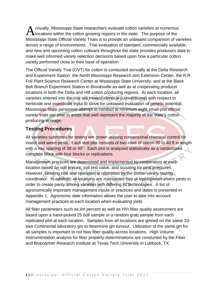nnually, Mississippi State researchers evaluate cotton varieties at numerous **L** locations within the cotton growing regions in the state. The purpose of the Mississippi State Official Variety Trials is to provide an unbiased comparison of varieties across a range of environments. Trial evaluation of standard, commercially available, and new and upcoming cotton cultivars throughout the state provides producers data to make well informed variety selection decisions based upon how a particular cotton variety performed close to their base of operation. A

The Official Variety Trial (OVT) for cotton is conducted annually at the Delta Research and Experiment Station, the North Mississippi Research and Extension Center, the R.R. Foil Plant Science Research Center at Mississippi State University, and at the Black Belt Branch Experiment Station in Brooksville as well as at cooperating producer locations in both the Delta and Hill cotton producing regions. At each location, all varieties entered into the trial are treated identical (conventional) with respect to herbicide and insecticide input to strive for unbiased evaluation of genetic potential. Mississippi State personnel attempt to conduct at minimum eight small-plot official variety trials per year in areas that well represent the majority of the state's cotton producing acreage.

# **Testing Procedures**

All varieties submitted for testing are grown utilizing conventional chemical control for insect and weed pests. Each test plot consists of two rows of cotton 35 to 40 ft in length with a row spacing of 38 or 40". Each plot is analyzed statistically as a randomized complete block with four blocks or replications.

Management practices are determined and implemented by cooperators at each location based on soil texture, soil test value, and scouting for pest pressures. However, seeding rate and operation is controlled by the cotton variety testing coordinator. In addition, all locations are maintained free of lepidopteran insect pests in order to create parity among varieties with differing *Bt* technologies. A list of agronomically important management inputs or practices and dates is presented in Appendix 1. Agronomic date information allows the user to take into account management practices at each location when evaluating yield.

All fiber parameters such as lint percent as well as HVI fiber quality assessment are based upon a hand-picked 25 boll sample or a random grab sample from each replicated plot at each location. Samples from all locations are ginned on the same 10 saw Continental laboratory gin to determine gin turnout. Utilization of the same gin for all samples is important to not bias fiber quality across locations. High Volume Instrumentation analysis for fiber property determinations are conducted by the Fiber and Biopolymer Research Institute at Texas Tech University in Lubbock, TX.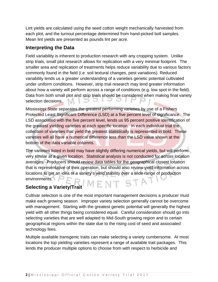Lint yields are calculated using the seed cotton weight mechanically harvested from each plot, and the turnout percentage determined from hand-picked boll samples. Mean lint yields are presented as pounds lint per acre.

## **Interpreting the Data**

Field variability is inherent to production research with any cropping system. Unlike strip trials, small plot research allows for replication with a very minimal footprint. The smaller area and replication of treatments helps reduce variability due to various factors commonly found in the field (i.e. soil textural changes, pest variations). Reduced variability lends us a greater understanding of a varieties genetic potential cultivated under uniform conditions. However, strip trial research may lend greater information about how a variety will perform across a range of conditions (e.g. low spot in the field). Data from both small plot and strip trials should be considered when making final variety selection decisions.

Mississippi State separates the greatest performing varieties by use of a Fishers Protected Least Significant Difference (LSD) at a five percent level of significance. The LSD associated with the five percent level, lends us 95 percent positive identification of the greatest yielding varieties at each specific location. In each individual trial the collection of varieties that yield the greatest statistically is represented in bold. These varieties will all have a numerical difference less than the LSD value shown at the bottom of the data variable columns.

The varieties listed in bold may have slightly differing numerical yields, but will perform very similar at a given location. Statistical analysis is not conducted for across location averages. Producers should review data tables for the geographical closest location that is representative of their operation, but should also review yield information across locations to get an idea of a variety's yield stability over a wide range of production environments. ENT STA

# **Selecting a Variety/Trait**

Cultivar selection is one of the most important management decisions a producer must make each growing season. Improper variety selection generally cannot be overcome with management. Starting with the greatest genetic potential will generally the highest yield with all other things being considered equal. Careful consideration should go into selecting varieties that are well adapted to Mid-South growing region and to certain geographical regions within the state due to the rising cost of seed and associated technology fees.

Multiple available transgenic traits can make selecting a variety cumbersome. At most locations the top yielding varieties represent a range of available trait packages. This lends the producer multiple options to choose from with respect to herbicide and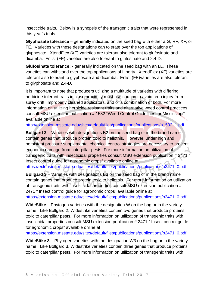insecticide traits. Below is a synopsis of the transgenic traits that were represented in this year's trials.

**Glyphosate tolerance** – generally indicated on the seed bag with either a G, RF, XF, or FE. Varieties with these designations can tolerate over the top applications of glyphosate. XtendFlex (XF) varieties are tolerant also tolerant to glufosinate and dicamba. Enlist (FE) varieties are also tolerant to glufosinate and 2,4-D.

**Glufosinate tolerance:** - generally indicated on the seed bag with an LL. These varieties can withstand over the top applications of Liberty. XtendFlex (XF) varieties are tolerant also tolerant to glyphosate and dicamba. Enlist (FE)varieties are also tolerant to glyphosate and 2,4-D.

It is important to note that producers utilizing a multitude of varieties with differing herbicide tolerant traits in close proximity must use caution to avoid crop injury from spray drift, improperly cleaned applicators, and or a combination of both. For more information on utilizing herbicide resistant traits and alternative weed control practices consult MSU extension publication # 1532 "Weed Control Guidelines for Mississippi" available online at

http://extension.msstate.edu/sites/default/files/publications/publications/p1532\_1.pdf

**Bollgard 2** – Varieties with designations B2 on the seed bag or in the brand name contain genes that produce protein toxic to heliothis. However, under high and persistent pressure supplemental chemical control strategies are necessary to prevent economic damage from caterpillar pests. For more information on utilization of transgenic traits with insecticidal properties consult MSU extension publication # 2471 " Insect control guide for agronomic crops" available online at https://extension.msstate.edu/sites/default/files/publications/publications/p2471\_0.pdf

**Bollgard 3** – Varieties with designations B3 on the seed bag or in the brand name contain genes that produce protein toxic to heliothis. For more information on utilization of transgenic traits with insecticidal properties consult MSU extension publication # 2471 " Insect control guide for agronomic crops" available online at https://extension.msstate.edu/sites/default/files/publications/publications/p2471\_0.pdf

**WideStike** – Phytogen varieties with the designation W on the bag or in the variety name. Like Bollgard 2, Widestrike varieties contain two genes that produce proteins toxic to caterpillar pests. For more information on utilization of transgenic traits with insecticidal properties consult MSU extension publication # 2471 " Insect control guide for agronomic crops" available online at

https://extension.msstate.edu/sites/default/files/publications/publications/p2471\_0.pdf

**WideStike 3** – Phytogen varieties with the designation W3 on the bag or in the variety name. Like Bollgard 3, Widestrike varieties contain three genes that produce proteins toxic to caterpillar pests. For more information on utilization of transgenic traits with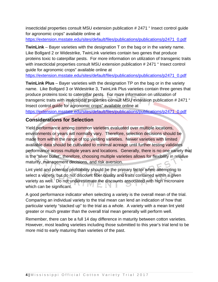insecticidal properties consult MSU extension publication # 2471 " Insect control guide for agronomic crops" available online at

https://extension.msstate.edu/sites/default/files/publications/publications/p2471\_0.pdf

**TwinLink** – Bayer varieties with the designation T on the bag or in the variety name. Like Bollgard 2 or Widestrike, TwinLink varieties contain two genes that produce proteins toxic to caterpillar pests. For more information on utilization of transgenic traits with insecticidal properties consult MSU extension publication # 2471 " Insect control guide for agronomic crops" available online at

https://extension.msstate.edu/sites/default/files/publications/publications/p2471\_0.pdf

**TwinLink Plus** – Bayer varieties with the designation TP on the bag or in the variety name. Like Bollgard 3 or Widestrike 3, TwinLink Plus varieties contain three genes that produce proteins toxic to caterpillar pests. For more information on utilization of transgenic traits with insecticidal properties consult MSU extension publication # 2471 " Insect control guide for agronomic crops" available online at https://extension.msstate.edu/sites/default/files/publications/publications/p2471\_0.pdf

# **Considerations for Selection**

Yield performance among common varieties evaluated over multiple locations, environments or years will normally vary. Therefore, selection decisions should be made from within the range of top yielding varieties. Newer varieties with limited available data should be cultivated to minimal acreage until further testing validates performance across multiple years and locations. Generally, there is no one variety that is the 'silver bullet'; therefore, choosing multiple varieties allows for flexibility in relative maturity, management decisions, and risk aversion.

Lint yield and potential profitability should be the primary factor when attempting to select a variety, but do not discount fiber quality and traits contained within a given variety as well. Do not underestimate the discounts associated with high micronaire which can be significant.

A good performance indicator when selecting a variety is the overall mean of the trial. Comparing an individual variety to the trial mean can lend an indication of how that particular variety "stacked up" to the trial as a whole. A variety with a mean lint yield greater or much greater than the overall trial mean generally will perform well.

Remember, there can be a full 14 day difference in maturity between cotton varieties. However, most leading varieties including those submitted to this year's trial tend to be more mid to early maturing than varieties of the past.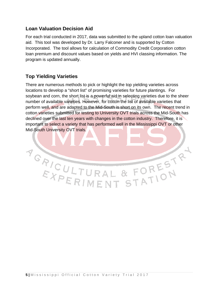# **Loan Valuation Decision Aid**

For each trial conducted in 2017, data was submitted to the upland cotton loan valuation aid. This tool was developed by Dr. Larry Falconer and is supported by Cotton Incorporated. The tool allows for calculation of Commodity Credit Corporation cotton loan premium and discount values based on yields and HVI classing information. The program is updated annually.

# **Top Yielding Varieties**

There are numerous methods to pick or highlight the top yielding varieties across locations to develop a "short list" of promising varieties for future plantings. For soybean and corn, the short list is a powerful aid in selecting varieties due to the sheer number of available varieties. However, for cotton the list of available varieties that perform well, and are adapted to the Mid-South is short on its own. The recent trend in cotton varieties submitted for testing to University OVT trials across the Mid-South has declined over the last ten years with changes in the cotton industry. Therefore, it is important to select a variety that has performed well in the Mississippi OVT or other Mid-South University OVT trials.

Y GRICULTURAL & FORESTR<sup>4</sup>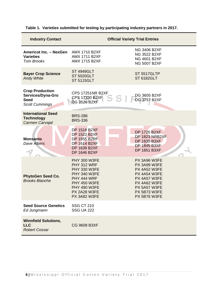| <b>Industry Contact</b>                                                             |                                                                                                                                                                               | <b>Official Variety Trial Entries</b>                                                                                                                             |
|-------------------------------------------------------------------------------------|-------------------------------------------------------------------------------------------------------------------------------------------------------------------------------|-------------------------------------------------------------------------------------------------------------------------------------------------------------------|
| <b>Americot Inc. - NexGen</b><br><b>Varieties</b><br><b>Tom Brooks</b>              | <b>AMX 1710 B2XF</b><br><b>AMX 1711 B2XF</b><br><b>AMX 1715 B2XF</b>                                                                                                          | <b>NG 3406 B2XF</b><br><b>NG 3522 B2XF</b><br><b>NG 4601 B2XF</b><br><b>NG 5007 B2XF</b>                                                                          |
| <b>Bayer Crop Science</b><br><b>Andy White</b>                                      | <b>ST 4949GLT</b><br><b>ST 5020GLT</b><br><b>ST 5115GLT</b>                                                                                                                   | ST 5517GLTP<br><b>ST 6182GLT</b>                                                                                                                                  |
| <b>Crop Production</b><br>Services/Dyna-Gro<br><b>Seed</b><br><b>Scott Cummings</b> | <b>CPS 17251NR B2XF</b><br><b>CPS 17330 B2XF</b><br><b>DG 3526 B2XF</b>                                                                                                       | DG 3605 B2XF<br><b>DG 3757 B2XF</b>                                                                                                                               |
| <b>International Seed</b><br><b>Technology</b><br>Carmen Carvajal                   | <b>BRS-286</b><br><b>BRS-336</b>                                                                                                                                              |                                                                                                                                                                   |
| <b>Monsanto</b><br><b>Dave Albers</b>                                               | <b>DP 1518 B2XF</b><br><b>DP 1522 B2XF</b><br><b>DP 1555 B2RF</b><br><b>DP 1614 B2XF</b><br>DP 1639 B2XF<br><b>DP 1646 B2XF</b>                                               | <b>DP 1725 B2XF</b><br>DP 1823 NRB2XF<br><b>DP 1835 B3XF</b><br><b>DP 1845 B3XF</b><br>DP 1851 B3XF                                                               |
| <b>PhytoGen Seed Co.</b><br><b>Brooks Blanche</b>                                   | <b>PHY 300 W3FE</b><br>PHY 312 WRF<br><b>PHY 330 W3FE</b><br><b>PHY 340 W3FE</b><br>PHY 444 WRF<br><b>PHY 450 W3FE</b><br><b>PHY 490 W3FE</b><br>PX 2A28 W3FE<br>PX 3A82 W3FE | PX 3A96 W3FE<br>PX 3A99 W3FE<br><b>PX 4A52 W3FE</b><br>PX 4A54 W3FE<br>PX 4A57 W3FE<br>PX 4A62 W3FE<br><b>PX 5A57 W3FE</b><br>PX 5B73 W3FE<br><b>PX 5B76 W3FE</b> |
| <b>Seed Source Genetics</b><br>Ed Jungmann                                          | <b>SSG CT 210</b><br><b>SSG UA 222</b>                                                                                                                                        |                                                                                                                                                                   |
| <b>Winnfield Solutions,</b><br><b>LLC</b><br><b>Robert Cossar</b>                   | <b>CG 9608 B3XF</b>                                                                                                                                                           |                                                                                                                                                                   |

### **Table 1. Varieties submitted for testing by participating industry partners in 2017.**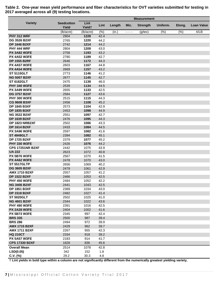|                                             |                            |                            |              |        |      | <b>Measurement</b> |          |        |                      |
|---------------------------------------------|----------------------------|----------------------------|--------------|--------|------|--------------------|----------|--------|----------------------|
| <b>Variety</b>                              | <b>Seedcotton</b><br>Yield | Lint<br>Yield <sup>+</sup> | Lint         | Length | Mic. | <b>Strength</b>    | Uniform. | Elong. | <b>Loan Value</b>    |
|                                             | (lb/acre)                  | (lb/acre)                  | (%)          | (in.)  | ---- | $(g$ /tex $)$      | (%)      | (% )   | $\sqrt{\epsilon/LB}$ |
| <b>PHY 312 WRF</b>                          | 2904                       | 1228                       | 42.4         |        |      |                    |          |        |                      |
| <b>DG 3526 B2XF</b>                         | 2765                       | 1220                       | 44.2         |        |      |                    |          |        |                      |
| <b>DP 1646 B2XF</b>                         | 2742                       | 1214                       | 44.2         |        |      |                    |          |        |                      |
| <b>PHY 444 WRF</b>                          | 2804                       | 1209                       | 43.0         |        |      |                    |          |        |                      |
| <b>PX 3A82 W3FE</b>                         | 2758                       | 1193                       | 43.2         |        |      |                    |          |        |                      |
| <b>PX 4A52 W3FE</b>                         | 2780                       | 1189                       | 42.7         |        |      |                    |          |        |                      |
| <b>DP 1555 B2RF</b>                         | 2646                       | 1172                       | 44.3         |        |      |                    |          |        |                      |
| <b>PX 4A57 W3FE</b>                         | 2603                       | 1167                       | 44.8         |        |      |                    |          |        |                      |
| <b>PX 4A54 W3FE</b>                         | 2669                       | 1157                       | 43.2         |        |      |                    |          |        |                      |
| <b>ST 5115GLT</b>                           | 2773                       | 1146                       | 41.2         |        |      |                    |          |        |                      |
| <b>NG 5007 B2XF</b>                         | 2677                       | 1145                       | 42.7         |        |      |                    |          |        |                      |
| <b>ST 6182GLT</b>                           | 2475                       | 1139                       | 46.0         |        |      |                    |          |        |                      |
| <b>PHY 340 W3FE</b>                         | 2539                       | 1134                       | 44.5         |        |      |                    |          |        |                      |
| <b>PX 3A99 W3FE</b>                         | 2655                       | 1133                       | 42.5         |        |      |                    |          |        |                      |
| <b>DG 3757 B2XF</b>                         | 2584                       | 1127                       | 43.6         |        |      |                    |          |        |                      |
| <b>PHY 300 W3FE</b>                         | 2515                       | 1115                       | 44.3         |        |      |                    |          |        |                      |
| <b>CG 9608 B3XF</b>                         | 2458                       | 1108                       | 45.2         |        |      |                    |          |        |                      |
| <b>DP 1845 B3XF</b>                         | 2573                       | 1104                       | 42.9         |        |      |                    |          |        |                      |
| <b>DP 1835 B3XF</b>                         | 2453                       | 1098                       | 44.9         |        |      |                    |          |        |                      |
| <b>NG 3522 B2XF</b>                         | 2551                       | 1097                       | 42.7         |        |      |                    |          |        |                      |
| <b>DP 1639 B2XF</b>                         | 2476                       | 1095                       | 44.3         |        |      |                    |          |        |                      |
| <b>DP 1823 NRB2XF</b>                       | 2502                       | 1086                       | 43.3         |        |      |                    |          |        |                      |
| <b>DP 1614 B2XF</b>                         | 2433                       | 1084                       | 44.5         |        |      |                    |          |        |                      |
| <b>PX 3A96 W3FE</b>                         | 2597                       | 1082                       | 41.6         |        |      |                    |          |        |                      |
| <b>ST 4949GLT</b>                           | 2394                       | 1082                       | 45.1         |        |      |                    |          |        |                      |
| <b>DP 1725 B2XF</b>                         | 2379                       | 1077                       | 45.2         |        |      |                    |          |        |                      |
| <b>PHY 330 W3FE</b>                         | 2426                       | 1076                       | 44.2         |        |      |                    |          |        |                      |
| <b>CPS 17251NR B2XF</b>                     | 2442                       | 1075                       | 43.9         |        |      |                    |          |        |                      |
| <b>UA 222</b>                               | 2623                       | 1072                       | 40.8         |        |      |                    |          |        |                      |
| <b>PX 5B76 W3FE</b>                         | 2567                       | 1070                       | 41.5         |        |      |                    |          |        |                      |
| <b>PX 4A62 W3FE</b>                         | 2478                       | 1070                       | 43.0         |        |      |                    |          |        |                      |
| <b>ST 5517GLTP</b>                          | 2656                       | 1069                       | 40.2         |        |      |                    |          |        |                      |
| <b>DG 3605 B2XF</b>                         | 2479                       | 1061                       | 42.9         |        |      |                    |          |        |                      |
| <b>AMX 1710 B2XF</b><br><b>DP 1522 B2XF</b> | 2557                       | 1057                       | 41.2<br>42.5 |        |      |                    |          |        |                      |
|                                             | 2466                       | 1053                       |              |        |      |                    |          |        |                      |
| <b>PHY 450 W3FE</b><br><b>NG 3406 B2XF</b>  | 2484<br>2441               | 1052<br>1043               | 42.2<br>42.5 |        |      |                    |          |        |                      |
| <b>DP 1851 B3XF</b>                         | 2389                       | 1034                       | 43.0         |        |      |                    |          |        |                      |
| <b>DP 1518 B2XF</b>                         | 2482                       | 1027                       | 41.4         |        |      |                    |          |        |                      |
| <b>ST 5020GLT</b>                           | 2502                       | 1025                       | 41.0         |        |      |                    |          |        |                      |
| <b>NG 4601 B2XF</b>                         | 2344                       | 1022                       | 43.6         |        |      |                    |          |        |                      |
| <b>PHY 490 W3FE</b>                         | 2391                       | 1016                       | 42.5         |        |      |                    |          |        |                      |
| <b>PX 2A28 W3FE</b>                         | 2404                       | 1002                       | 41.6         |        |      |                    |          |        |                      |
| <b>PX 5B73 W3FE</b>                         | 2345                       | 997                        | 42.4         |        |      |                    |          |        |                      |
| <b>BRS 335</b>                              | 2500                       | 987                        | 39.4         |        |      |                    |          |        |                      |
| <b>BRS 286</b>                              | 2494                       | 972                        | 39.9         |        |      |                    |          |        |                      |
| <b>AMX 1715 B2XF</b>                        | 2429                       | 962                        | 39.7         |        |      |                    |          |        |                      |
| <b>AMX 1711 B2XF</b>                        | 2267                       | 955                        | 42.3         |        |      |                    |          |        |                      |
| <b>HQ 210CT</b>                             | 2334                       | 918                        | 39.2         |        |      |                    |          |        |                      |
| <b>PX 5A57 W3FE</b>                         | 2183                       | 914                        | 41.7         |        |      |                    |          |        |                      |
| <b>CPS 17330 B2XF</b>                       | 1828                       | 836                        | 45.6         |        |      |                    |          |        |                      |
| <b>Overall Mean</b>                         | 2514                       | 1078                       | 42.8         |        |      |                    |          |        |                      |
| LSD(0.05)                                   | 342                        | 152                        | 1.8          |        |      |                    |          |        |                      |
| $C.V.$ (%)                                  | 29.2                       | 30.3                       | 4.8          |        |      |                    |          |        |                      |

**Table 2. One-year mean yield performance and fiber characteristics for OVT varieties submitted for testing in 2017 averaged across all (9) testing locations.**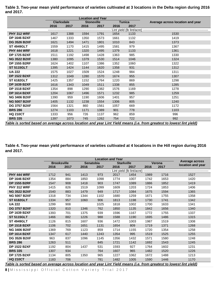|                     | <b>Clarksdale</b> |      | <b>Stoneville</b> |      |      | <b>Tunica</b>             | Average across location and year                                                                                     |
|---------------------|-------------------|------|-------------------|------|------|---------------------------|----------------------------------------------------------------------------------------------------------------------|
|                     | 2016              | 2017 | 2016              | 2017 | 2016 | 2017                      |                                                                                                                      |
|                     |                   |      |                   |      |      | Lint yield (lb lint/acre) |                                                                                                                      |
| <b>PHY 312 WRF</b>  | 1617              | 1388 | 1594              | 1791 | 1654 | 1133                      | 1530                                                                                                                 |
| <b>DP 1646 B2XF</b> | 1467              | 1333 | 1350              | 1573 | 1661 | 1132                      | 1419                                                                                                                 |
| <b>DG 3526 B2XF</b> | 1621              | 1494 | 1471              | 1801 | 1010 | 843                       | 1373                                                                                                                 |
| <b>ST 4949GLT</b>   | 1559              | 1170 | 1415              | 1495 | 1581 | 979                       | 1367                                                                                                                 |
| PHY 444 WRF         | 1618              | 1221 | 1320              | 1495 | 1379 | 1133                      | 1361                                                                                                                 |
| <b>DP 1725 B2XF</b> | 1511              | 1192 | 1498              | 1428 | 1363 | 985                       | 1330                                                                                                                 |
| <b>NG 3522 B2XF</b> | 1380              | 1095 | 1379              | 1530 | 1514 | 1046                      | 1324                                                                                                                 |
| <b>DP 1555 B2RF</b> | 1624              | 1402 | 1107              | 1386 | 1352 | 1060                      | 1322                                                                                                                 |
| <b>ST 5115GLT</b>   | 1395              | 1424 | 1144              | 1620 | 1358 | 931                       | 1312                                                                                                                 |
| <b>UA 222</b>       | 1575              | 1027 | 1509              | 1524 | 1248 | 984                       | 1311                                                                                                                 |
| <b>DP 1522 B2XF</b> | 1312              | 1049 | 1280              | 1570 | 1674 | 955                       | 1307                                                                                                                 |
| <b>ST 6182GLT</b>   | 1425              | 1357 | 1152              | 1764 | 1220 | 869                       | 1298                                                                                                                 |
| <b>DP 1639 B2XF</b> | 1616              | 1343 | 1049              | 1511 | 1338 | 855                       | 1285                                                                                                                 |
| <b>DP 1518 B2XF</b> | 1354              | 898  | 1290              | 1382 | 1576 | 1169                      | 1278                                                                                                                 |
| <b>DP 1614 B2XF</b> | 1204              | 1067 | 1496              | 1571 | 1232 | 985                       | 1259                                                                                                                 |
| <b>NG 3406 B2XF</b> | 1390              | 959  | 1190              | 1606 | 1401 | 957                       | 1251                                                                                                                 |
| <b>NG 5007 B2XF</b> | 1405              | 1132 | 1238              | 1554 | 1306 | 805                       | 1240                                                                                                                 |
| <b>DG 3757 B2XF</b> | 1564              | 1321 | 860               | 1561 | 1057 | 669                       | 1172                                                                                                                 |
| <b>BRS 286</b>      | 1274              | 1103 | 1171              | 1389 | 901  | 778                       | 1103                                                                                                                 |
| <b>HQ 210CT</b>     | 1333              | 956  | 726               | 1137 | 962  | 859                       | 996                                                                                                                  |
| <b>BRS 335</b>      | 1397              | 1073 | 745               | 1262 | 754  | 722                       | 992                                                                                                                  |
|                     |                   |      |                   |      |      |                           | Table is sorted based on average across location and year Lint Yield means (i.e. from greatest to lowest lint yield) |

**Table 3. Two-year mean yield performance of varieties cultivated at 3 locations in the Delta region during 2016 and 2017.** 

**Table 4. Two-year mean yield performance of varieties cultivated at 4 locations in the Hill region during 2016 and 2017.** 

|                                                                                                                      |                    |      |      |           | <b>Location and Year</b> |                           |      |        |                                     |
|----------------------------------------------------------------------------------------------------------------------|--------------------|------|------|-----------|--------------------------|---------------------------|------|--------|-------------------------------------|
|                                                                                                                      | <b>Brooksville</b> |      |      | Senatobia | <b>Starkville</b>        |                           |      | Verona | Average across<br>location and year |
|                                                                                                                      | 2016               | 2017 | 2016 | 2017      | 2016                     | 2017                      | 2016 | 2017   |                                     |
|                                                                                                                      |                    |      |      |           |                          | Lint yield (lb lint/acre) |      |        |                                     |
| PHY 444 WRF                                                                                                          | 1712               | 941  | 1413 | 973       | 2017                     | 1454                      | 1989 | 1716   | 1527                                |
| <b>DP 1646 B2XF</b>                                                                                                  | 1354               | 884  | 1850 | 1098      | 1774                     | 1007                      | 1742 | 1653   | 1420                                |
| <b>DP 1555 B2RF</b>                                                                                                  | 1547               | 908  | 1418 | 903       | 1747                     | 1089                      | 1886 | 1852   | 1419                                |
| <b>PHY 312 WRF</b>                                                                                                   | 1415               | 826  | 1519 | 1099      | 1609                     | 1203                      | 1724 | 1853   | 1406                                |
| <b>NG 3522 B2XF</b>                                                                                                  | 1540               | 883  | 1479 | 949       | 1717                     | 1084                      | 1675 | 1594   | 1365                                |
| <b>NG 5007 B2XF</b>                                                                                                  | 1318               | 734  | 1344 | 1102      | 1680                     | 1259                      | 1671 | 1755   | 1358                                |
| <b>ST 6182GLT</b>                                                                                                    | 1334               | 957  | 1060 | 906       | 1813                     | 1198                      | 1730 | 1741   | 1342                                |
| <b>UA 222</b>                                                                                                        | 1299               | 908  |      | 1025      | 1818                     | 1002                      | 1700 | 1633   | 1341                                |
| <b>DG 3757 B2XF</b>                                                                                                  | 1320               | 810  | 1346 | 762       | 1850                     | 1135                      | 1842 | 1656   | 1340                                |
| <b>DP 1639 B2XF</b>                                                                                                  | 1393               | 701  | 1375 | 939       | 1596                     | 1167                      | 1772 | 1755   | 1337                                |
| <b>ST 5115GLT</b>                                                                                                    | 1466               | 882  | 1226 | 988       | 1588                     | 1190                      | 1695 | 1486   | 1315                                |
| <b>ST 4949GLT</b>                                                                                                    | 1126               | 815  | 1607 | 936       | 1472                     | 1003                      | 1987 | 1519   | 1308                                |
| <b>DP 1518 B2XF</b>                                                                                                  | 1106               | 702  | 1651 | 1131      | 1654                     | 809                       | 1719 | 1371   | 1268                                |
| <b>NG 3406 B2XF</b>                                                                                                  | 1369               | 769  | 1123 | 859       | 1714                     | 1155                      | 1720 | 1354   | 1258                                |
| <b>DP 1614 B2XF</b>                                                                                                  | 1347               | 617  | 1440 | 1243      | 1354                     | 995                       | 1519 | 1525   | 1255                                |
| <b>DG 3526 B2XF</b>                                                                                                  | 963                | 837  | 1096 | 1145      | 1356                     | 1432                      | 1571 | 1580   | 1248                                |
| <b>BRS 286</b>                                                                                                       | 1263               | 511  |      | 845       | 1721                     | 1142                      | 1692 | 1543   | 1245                                |
| <b>DP 1522 B2XF</b>                                                                                                  | 1192               | 804  | 1437 | 531       | 1593                     | 927                       | 1764 | 1602   | 1231                                |
| <b>BRS 335</b>                                                                                                       | 1307               | 934  |      | 764       | 1607                     | 965                       | 1482 | 1520   | 1226                                |
| <b>DP 1725 B2XF</b>                                                                                                  | 1134               | 805  | 1350 | 965       | 1227                     | 1062                      | 1672 | 1488   | 1213                                |
| <b>HQ 210CT</b>                                                                                                      | 1183               | 706  |      | 781       | 1482                     | 1005                      | 1590 | 1446   | 1170                                |
| Tahlo is sortod basod on avorago across location and voar Lint Viold moans (i.e. from groatost to lowost lint viold) |                    |      |      |           |                          |                           |      |        |                                     |

*Table is sorted based on average across location and year Lint Yield means (i.e. from greatest to lowest lint yield)*

**8 |** Mississippi Official Cotton Variety Trial 2017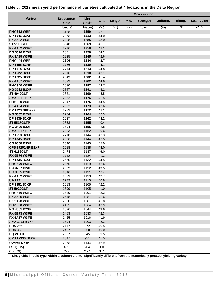|                         |                            |                            |      |        |      | <b>Measurement</b> |          |        |                   |
|-------------------------|----------------------------|----------------------------|------|--------|------|--------------------|----------|--------|-------------------|
| <b>Variety</b>          | <b>Seedcotton</b><br>Yield | Lint<br>Yield <sup>+</sup> | Lint | Length | Mic. | <b>Strength</b>    | Uniform. | Elong. | <b>Loan Value</b> |
|                         | (lb/acre)                  | (lb/acre)                  | (% ) | (in.)  | ---- | $(g$ /tex $)$      | (%)      | (% )   | ¢/LB              |
| <b>PHY 312 WRF</b>      | 3188                       | 1359                       | 42.7 |        |      |                    |          |        |                   |
| <b>DP 1646 B2XF</b>     | 2973                       | 1313                       | 44.0 |        |      |                    |          |        |                   |
| <b>PX 3A82 W3FE</b>     | 2998                       | 1285                       | 43.0 |        |      |                    |          |        |                   |
| <b>ST 5115GLT</b>       | 3048                       | 1269                       | 41.7 |        |      |                    |          |        |                   |
| <b>PX 4A52 W3FE</b>     | 2916                       | 1258                       | 43.1 |        |      |                    |          |        |                   |
| <b>DG 3526 B2XF</b>     | 2851                       | 1256                       | 44.2 |        |      |                    |          |        |                   |
| <b>PX 3A99 W3FE</b>     | 2925                       | 1245                       | 42.6 |        |      |                    |          |        |                   |
| <b>PHY 444 WRF</b>      | 2896                       | 1234                       | 42.7 |        |      |                    |          |        |                   |
| <b>DP 1555 B2RF</b>     | 2786                       | 1230                       | 44.1 |        |      |                    |          |        |                   |
| <b>DP 1614 B2XF</b>     | 2714                       | 1213                       | 44.8 |        |      |                    |          |        |                   |
| <b>DP 1522 B2XF</b>     | 2816                       | 1210                       | 43.1 |        |      |                    |          |        |                   |
| <b>DP 1725 B2XF</b>     | 2649                       | 1202                       | 45.4 |        |      |                    |          |        |                   |
| <b>PX 4A57 W3FE</b>     | 2699                       | 1202                       | 44.6 |        |      |                    |          |        |                   |
| <b>PHY 340 W3FE</b>     | 2680                       | 1197                       | 44.7 |        |      |                    |          |        |                   |
| <b>NG 3522 B2XF</b>     | 2747                       | 1191                       | 43.2 |        |      |                    |          |        |                   |
| <b>ST 4949GLT</b>       | 2621                       | 1190                       | 45.5 |        |      |                    |          |        |                   |
| <b>AMX 1710 B2XF</b>    | 2832                       | 1176                       | 41.5 |        |      |                    |          |        |                   |
| <b>PHY 300 W3FE</b>     | 2647                       | 1176                       | 44.5 |        |      |                    |          |        |                   |
| <b>PX 4A54 W3FE</b>     | 2692                       | 1173                       | 43.6 |        |      |                    |          |        |                   |
| <b>DP 1823 NRB2XF</b>   | 2723                       | 1172                       | 43.1 |        |      |                    |          |        |                   |
| <b>NG 5007 B2XF</b>     | 2754                       | 1164                       | 42.3 |        |      |                    |          |        |                   |
| <b>DP 1639 B2XF</b>     | 2637                       | 1162                       | 44.2 |        |      |                    |          |        |                   |
| <b>ST 5517GLTP</b>      | 2853                       | 1155                       | 40.4 |        |      |                    |          |        |                   |
| <b>NG 3406 B2XF</b>     | 2694                       | 1155                       | 42.8 |        |      |                    |          |        |                   |
| <b>AMX 1715 B2XF</b>    | 2923                       | 1152                       | 39.6 |        |      |                    |          |        |                   |
| <b>DP 1518 B2XF</b>     | 2718                       | 1144                       | 42.3 |        |      |                    |          |        |                   |
| <b>DP 1845 B3XF</b>     | 2696                       | 1144                       | 42.5 |        |      |                    |          |        |                   |
| <b>CG 9608 B3XF</b>     | 2540                       | 1140                       | 45.0 |        |      |                    |          |        |                   |
| <b>CPS 17251NR B2XF</b> | 2588                       | 1138                       | 44.0 |        |      |                    |          |        |                   |
| <b>ST 6182GLT</b>       | 2474                       | 1137                       | 46.0 |        |      |                    |          |        |                   |
| <b>PX 5B76 W3FE</b>     | 2742                       | 1134                       | 41.3 |        |      |                    |          |        |                   |
| <b>DP 1835 B3XF</b>     | 2550                       | 1132                       | 44.5 |        |      |                    |          |        |                   |
| <b>PHY 490 W3FE</b>     | 2675                       | 1129                       | 42.6 |        |      |                    |          |        |                   |
| <b>DG 3757 B2XF</b>     | 2572                       | 1122                       | 43.5 |        |      |                    |          |        |                   |
| <b>DG 3605 B2XF</b>     | 2646                       | 1121                       | 42.4 |        |      |                    |          |        |                   |
| <b>PX 4A62 W3FE</b>     | 2633                       | 1120                       | 42.7 |        |      |                    |          |        |                   |
| <b>UA 222</b>           | 2723                       | 1110                       | 40.8 |        |      |                    |          |        |                   |
| <b>DP 1851 B3XF</b>     | 2613                       | 1105                       | 42.2 |        |      |                    |          |        |                   |
| <b>ST 5020GLT</b>       | 2699                       | 1105                       | 41.0 |        |      |                    |          |        |                   |
| <b>PHY 450 W3FE</b>     | 2589                       | 1091                       | 42.3 |        |      |                    |          |        |                   |
| PX 3A96 W3FE            | 2618                       | 1087                       | 41.6 |        |      |                    |          |        |                   |
| <b>PX 2A28 W3FE</b>     | 2590                       | 1081                       | 41.8 |        |      |                    |          |        |                   |
| <b>PHY 330 W3FE</b>     | 2425                       | 1064                       | 43.9 |        |      |                    |          |        |                   |
| <b>NG 4601 B2XF</b>     | 2396                       | 1044                       | 43.6 |        |      |                    |          |        |                   |
| <b>PX 5B73 W3FE</b>     | 2453                       | 1033                       | 42.3 |        |      |                    |          |        |                   |
| <b>PX 5A57 W3FE</b>     | 2425                       | 1016                       | 41.9 |        |      |                    |          |        |                   |
| <b>AMX 1711 B2XF</b>    | 2394                       | 1003                       | 42.2 |        |      |                    |          |        |                   |
| <b>BRS 286</b>          | 2417                       | 972                        | 40.5 |        |      |                    |          |        |                   |
| <b>BRS 335</b>          | 2427                       | 968                        | 40.0 |        |      |                    |          |        |                   |
| <b>HQ 210CT</b>         | 2387                       | 945                        | 39.5 |        |      |                    |          |        |                   |
| <b>CPS 17330 B2XF</b>   | 2047                       | 931                        | 45.5 |        |      |                    |          |        |                   |
| <b>Overall Mean</b>     | 2673                       | 1144                       | 42.9 |        |      |                    |          |        |                   |
| LSD(0.05)               | 482                        | 204                        | 1.0  |        |      |                    |          |        |                   |
| $C.V.$ (%)              | 25.7                       | 25.4                       | 304  |        |      |                    |          |        |                   |

#### **Table 5. 2017 mean yield performance of varieties cultivated at 4 locations in the Delta Region.**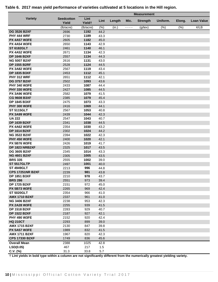|                                              |                            |                            |              |        |      | <b>Measurement</b> |          |        |                       |
|----------------------------------------------|----------------------------|----------------------------|--------------|--------|------|--------------------|----------|--------|-----------------------|
| <b>Variety</b>                               | <b>Seedcotton</b><br>Yield | Lint<br>Yield <sup>+</sup> | Lint         | Length | Mic. | <b>Strength</b>    | Uniform. | Elong. | <b>Loan Value</b>     |
|                                              | (lb/acre)                  | (lb/acre)                  | (%)          | (in.)  | ---- | $(g$ /tex $)$      | (% )     | (%)    | $\sqrt{\mathcal{L}B}$ |
| <b>DG 3526 B2XF</b>                          | 2696                       | 1192                       | 44.2         |        |      |                    |          |        |                       |
| <b>PHY 444 WRF</b>                           | 2730                       | 1189                       | 43.3         |        |      |                    |          |        |                       |
| <b>PX 4A57 W3FE</b>                          | 2605                       | 1182                       | 45.0         |        |      |                    |          |        |                       |
| <b>PX 4A54 W3FE</b>                          | 2650                       | 1143                       | 42.9         |        |      |                    |          |        |                       |
| <b>ST 6182GLT</b>                            | 2461                       | 1140                       | 46.1         |        |      |                    |          |        |                       |
| <b>PX 4A52 W3FE</b>                          | 2671                       | 1134                       | 42.3         |        |      |                    |          |        |                       |
| <b>DP 1646 B2XF</b>                          | 2557                       | 1134                       | 44.3         |        |      |                    |          |        |                       |
| <b>NG 5007 B2XF</b>                          | 2616                       | 1131                       | 43.0         |        |      |                    |          |        |                       |
| <b>DP 1555 B2RF</b>                          | 2528                       | 1124                       | 44.5         |        |      |                    |          |        |                       |
| <b>PX 3A82 W3FE</b>                          | 2567                       | 1119                       | 43.4         |        |      |                    |          |        |                       |
| <b>DP 1835 B3XF</b>                          | 2453                       | 1112                       | 45.1         |        |      |                    |          |        |                       |
| <b>PHY 312 WRF</b>                           | 2651                       | 1112                       | 42.1         |        |      |                    |          |        |                       |
| <b>DG 3757 B2XF</b>                          | 2502                       | 1093                       | 43.6         |        |      |                    |          |        |                       |
| <b>PHY 340 W3FE</b>                          | 2433                       | 1087                       | 44.4         |        |      |                    |          |        |                       |
| <b>PHY 330 W3FE</b>                          | 2427                       | 1085                       | 44.5         |        |      |                    |          |        |                       |
| <b>PX 3A96 W3FE</b>                          | 2582                       | 1079                       | 41.5         |        |      |                    |          |        |                       |
| <b>CG 9608 B3XF</b>                          | 2385                       | 1079                       | 45.4         |        |      |                    |          |        |                       |
| <b>DP 1845 B3XF</b>                          | 2475                       | 1073                       | 43.3         |        |      |                    |          |        |                       |
| <b>PHY 300 W3FE</b>                          | 2416                       | 1069                       | 44.1         |        |      |                    |          |        |                       |
| <b>ST 5115GLT</b>                            | 2567                       | 1053                       | 40.8         |        |      |                    |          |        |                       |
| <b>PX 3A99 W3FE</b>                          | 2439                       | 1044                       | 42.3         |        |      |                    |          |        |                       |
| <b>UA 222</b>                                | 2547                       | 1043                       | 40.7         |        |      |                    |          |        |                       |
| <b>DP 1639 B2XF</b>                          | 2341                       | 1038                       | 44.5         |        |      |                    |          |        |                       |
| <b>PX 4A62 W3FE</b>                          | 2354                       | 1030                       | 43.2         |        |      |                    |          |        |                       |
| <b>DP 1614 B2XF</b>                          | 2302                       | 1024                       | 44.2         |        |      |                    |          |        |                       |
| <b>NG 3522 B2XF</b>                          | 2394                       | 1022                       | 42.3         |        |      |                    |          |        |                       |
| <b>PHY 450 W3FE</b>                          | 2400                       | 1020                       | 42.1         |        |      |                    |          |        |                       |
| <b>PX 5B76 W3FE</b>                          | 2426                       | 1019                       | 41.7         |        |      |                    |          |        |                       |
| <b>DP 1823 NRB2XF</b>                        | 2325                       | 1017                       | 43.5         |        |      |                    |          |        |                       |
| <b>DG 3605 B2XF</b>                          | 2345                       | 1014                       | 43.3         |        |      |                    |          |        |                       |
| <b>NG 4601 B2XF</b>                          | 2305                       | 1005                       | 43.5         |        |      |                    |          |        |                       |
| <b>BRS 335</b>                               | 2555                       | 1002                       | 39.0         |        |      |                    |          |        |                       |
| <b>ST 5517GLTP</b>                           | 2497                       | 1001                       | 40.0         |        |      |                    |          |        |                       |
| <b>ST 4949GLT</b><br><b>CPS 17251NR B2XF</b> | 2213                       | 996                        | 44.8         |        |      |                    |          |        |                       |
| <b>DP 1851 B3XF</b>                          | 2239<br>2210               | 981<br>978                 | 43.8<br>43.7 |        |      |                    |          |        |                       |
| <b>BRS 286</b>                               | 2551                       | 973                        | 39.4         |        |      |                    |          |        |                       |
| <b>DP 1725 B2XF</b>                          | 2151                       | 972                        | 45.0         |        |      |                    |          |        |                       |
| <b>PX 5B73 W3FE</b>                          | 2265                       | 969                        | 42.4         |        |      |                    |          |        |                       |
| <b>ST 5020GLT</b>                            | 2354                       | 966                        | 41.0         |        |      |                    |          |        |                       |
| <b>AMX 1710 B2XF</b>                         | 2337                       | 961                        | 41.0         |        |      |                    |          |        |                       |
| <b>NG 3406 B2XF</b>                          | 2238                       | 953                        | 42.3         |        |      |                    |          |        |                       |
| <b>PX 2A28 W3FE</b>                          | 2255                       | 939                        | 41.5         |        |      |                    |          |        |                       |
| <b>DP 1518 B2XF</b>                          | 2283                       | 929                        | 40.7         |        |      |                    |          |        |                       |
| <b>DP 1522 B2XF</b>                          | 2187                       | 927                        | 42.1         |        |      |                    |          |        |                       |
| <b>PHY 490 W3FE</b>                          | 2152                       | 920                        | 42.4         |        |      |                    |          |        |                       |
| <b>HQ 210CT</b>                              | 2293                       | 899                        | 39.0         |        |      |                    |          |        |                       |
| <b>AMX 1715 B2XF</b>                         | 2130                       | 847                        | 39.8         |        |      |                    |          |        |                       |
| <b>PX 5A57 W3FE</b>                          | 1989                       | 832                        | 41.5         |        |      |                    |          |        |                       |
| <b>AMX 1711 B2XF</b>                         | 1967                       | 820                        | 42.3         |        |      |                    |          |        |                       |
| <b>CPS 17330 B2XF</b>                        | 1749                       | 836                        | 45.6         |        |      |                    |          |        |                       |
| <b>Overall Mean</b>                          | 2388                       | 1025                       | 42.8         |        |      |                    |          |        |                       |
| LSD(0.05)                                    | 467                        | 217                        | 1.5          |        |      |                    |          |        |                       |
| $C.V.$ (%)                                   | 31.3                       | 33.8                       | 5.7          |        |      |                    |          |        |                       |
|                                              |                            |                            |              |        |      |                    |          |        |                       |

#### **Table 6. 2017 mean yield performance of varieties cultivated at 5 locations in the Hill region.**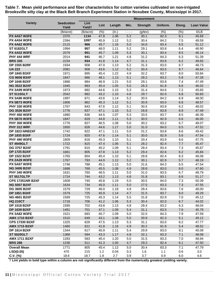|                                            |                            | <b>Measurement</b>         |              |              |            |                 |              |            |                   |
|--------------------------------------------|----------------------------|----------------------------|--------------|--------------|------------|-----------------|--------------|------------|-------------------|
| <b>Variety</b>                             | <b>Seedcotton</b><br>Yield | Lint<br>Yield <sup>+</sup> | Lint         | Length       | Mic.       | <b>Strength</b> | Uniform.     | Elong.     | <b>Loan Value</b> |
|                                            | (lb/acre)                  | (lb/acre)                  | (% )         | (in.)        | ----       | $(g$ /tex $)$   | (%)          | (% )       | ¢/LB              |
| <b>PX 4A57 W3FE</b>                        | 2370                       | 1134                       | 47.8         | 1.06         | 5.2        | 30.1            | 82.3         | 8.1        | 45.69             |
| <b>PX 4A54 W3FE</b>                        | 2394                       | 1097                       | 45.9         | 1.12         | 5.2        | 30.4            | 84.2         | 7.5        | 49.59             |
| <b>PX 4A62 W3FE</b>                        | 2115                       | 966                        | 45.7         | 1.16         | 5.0        | 34.6            | 83.4         | 6.5        | 51.12             |
| <b>ST 6182GLT</b>                          | 1994                       | 957                        | 48.0         | 1.11         | 5.2        | 29.1            | 83.8         | 6.4        | 46.90             |
| <b>PX 4A52 W3FE</b>                        | 2079                       | 951                        | 45.7         | 1.09         | 5.3        | 30.1            | 83.4         | 8.5        | 46.14             |
| PHY 444 WRF                                | 2014                       | 941                        | 46.7         | 1.21         | 4.8        | 31.2            | 84.3         | 6.3        | 51.39             |
| <b>BRS 335</b>                             | 2234                       | 934                        | 41.8         | 1.14         | 4.7        | 31.1            | 83.8         | 6.2        | 49.65             |
| <b>DP 1555 B2RF</b>                        | 1934                       | 908                        | 47.0         | 1.13         | 5.2        | 31.3            | 83.0         | 6.7        | 48.73             |
| <b>UA 222</b>                              | 2081                       | 908                        | 43.6         | 1.12         | 5.2        | 30.4            | 83.5         | 8.7        | 46.64             |
| <b>DP 1845 B3XF</b>                        | 1971                       | 895                        | 45.4         | 1.22         | 4.9        | 32.2            | 83.7         | 8.0        | 50.84             |
| <b>CG 9608 B3XF</b>                        | 1847                       | 886                        | 48.1         | 1.13         | 5.1        | 28.2            | 83.2         | 5.8        | 47.28             |
| <b>DP 1646 B2XF</b>                        | 1886                       | 884                        | 46.9         | 1.21         | 5.0        | 29.1            | 83.8         | 7.4        | 47.49             |
| <b>NG 3522 B2XF</b>                        | 1945                       | 883                        | 45.4         | 1.05         | $5.0$      | 26.3            | 81.8         | 6.6        | 46.02             |
| <b>PX 3A99 W3FE</b>                        | 1973                       | 882                        | 44.6         | 1.15         | 5.3        | 31.4            | 84.6         | 7.2        | 45.65             |
| <b>ST 5115GLT</b>                          | 2042                       | 882                        | 43.2         | 1.10         | 4.6        | 29.7            | 82.0         | 6.8        | 50.83             |
| <b>PX 3A96 W3FE</b>                        | 1997                       | 871                        | 43.6         | 1.14         | 5.2        | 30.5            | 84.2         | 6.9        | 48.00             |
| PX 5B73 W3FE                               | 1906                       | 862                        | 45.3         | 1.12         | 5.1        | 30.9            | 83.0         | 6.8        | 48.57             |
| <b>PHY 330 W3FE</b>                        | 1767                       | 843                        | 47.6         | 1.12         | 5.1        | 30.5            | 83.9         | 6.2        | 48.02             |
| <b>DG 3526 B2XF</b>                        | 1776                       | 837                        | 47.1         | 1.10         | 5.2        | 28.8            | 83.8         | 8.9        | 47.49             |
| <b>PHY 450 W3FE</b>                        | 1880                       | 836                        | 44.5         | 1.07         | 5.3        | 33.5            | 83.7         | 8.5        | 46.39             |
| <b>PX 5B76 W3FE</b>                        | 1847                       | 829                        | 44.8         | 1.11         | 5.3        | 30.5            | 82.9         | 6.6        | 46.00             |
| <b>PHY 300 W3FE</b>                        | 1776                       | 827                        | 46.5         | 1.08         | $5.0\,$    | 30.2            | 83.2         | 6.7        | 48.07             |
| PHY 312 WRF                                | 1850                       | 826                        | 44.6         | 1.17         | 5.0        | 31.0            | 84.0         | 6.5        | 47.52             |
| DP 1823 NRB2XF                             | 1742                       | 822                        | 47.1         | 1.11         | $5.0\,$    | 31.2            | 83.8         | 8.6        | 49.42             |
| <b>DP 1835 B3XF</b>                        | 1724                       | 820                        | 47.6         | 1.14         | 5.1        | 30.0            | 82.9         | 5.6        | 47.54             |
| <b>PHY 490 W3FE</b>                        | 1809                       | 818                        | 45.3         | 1.10         | 5.1        | 33.4            | 83.9         | 8.6        | 47.75             |
| <b>ST 4949GLT</b>                          | 1722                       | 815                        | 47.4         | 1.06         | 5.1        | 28.2            | 82.4         | 7.7        | 45.47             |
| <b>DG 3757 B2XF</b>                        | 1791<br>1681               | 810                        | 45.2         | 1.09         | 5.1<br>5.2 | 28.4            | 83.4<br>82.6 | 7.3<br>6.2 | 45.67             |
| <b>DP 1725 B2XF</b><br><b>DP 1522 B2XF</b> | 1765                       | 805<br>804                 | 47.8<br>45.4 | 1.13<br>1.10 | 5.1        | 29.4<br>28.8    | 82.4         | 8.3        | 45.84<br>46.08    |
| <b>PX 2A28 W3FE</b>                        | 1767                       | 793                        | 44.9         | 1.12         | 5.2        | 30.1            | 82.9         | 5.7        | 48.19             |
| <b>PX 5A57 W3FE</b>                        | 1746                       | 788                        | 45.1         | 1.13         | 5.0        | 31.6            | 84.3         | 6.5        | 47.54             |
| <b>NG 3406 B2XF</b>                        | 1688                       | 769                        | 45.5         | 1.08         | 4.9        | 28.8            | 83.0         | 8.0        | 47.60             |
| <b>PHY 340 W3FE</b>                        | 1631                       | 760                        | 46.5         | 1.11         | 5.0        | 31.0            | 83.5         | 6.7        | 48.79             |
| <b>ST 5517GLTP</b>                         | 1724                       | 744                        | 43.2         | 1.13         | 4.8        | 31.8            | 83.1         | 6.6        | 51.17             |
| <b>CPS 17251NR B2XF</b>                    | 1608                       | 740                        | 45.8         | 1.19         | 5.0        | 30.5            | 84.0         | 7.3        | 50.39             |
| <b>NG 5007 B2XF</b>                        | 1634                       | 734                        | 45.0         | 1.11         | 5.0        | 27.5            | 83.3         | 7.3        | 47.55             |
| <b>DG 3605 B2XF</b>                        | 1579                       | 729                        | 46.0         | 1.18         | 4.9        | 28.4            | 83.6         | 7.6        | 48.00             |
| <b>DP 1851 B3XF</b>                        | 1579                       | 725                        | 45.9         | 1.14         | 4.7        | 31.5            | 83.7         | 8.0        | 49.29             |
| <b>NG 4601 B2XF</b>                        | 1599                       | 725                        | 45.3         | 1.14         | 5.5        | 31.8            | 82.9         | 7.0        | 45.12             |
| <b>HQ 210CT</b>                            | 1718                       | 706                        | 41.2         | 1.06         | 5.3        | 30.4            | 82.0         | 6.7        | 44.02             |
| <b>DP 1518 B2XF</b>                        | 1595                       | 702                        | 43.8         | 1.13         | 4.8        | 28.4            | 83.2         | 6.3        | 48.04             |
| <b>DP 1639 B2XF</b>                        | 1491                       | 701                        | 47.1         | 1.09         | 5.4        | 31.1            | 83.5         | $7.6\,$    | 45.79             |
| <b>PX 3A82 W3FE</b>                        | 1521                       | 693                        | 45.7         | 1.09         | 5.0        | 32.0            | 84.3         | 7.9        | 47.59             |
| <b>AMX 1710 B2XF</b>                       | 1510                       | 649                        | 43.1         | 1.08         | 5.0        | 30.9            | 82.3         | 5.1        | 49.12             |
| <b>CPS 17330 B2XF</b>                      | 1325                       | 628                        | 47.5         | 1.13         | 5.3        | 31.1            | 83.0         | 8.2        | 47.77             |
| <b>AMX 1715 B2XF</b>                       | 1480                       | 621                        | 41.8         | 1.16         | 4.9        | 30.2            | 81.9         | 5.4        | 48.52             |
| <b>DP 1614 B2XF</b>                        | 1344                       | 617                        | 45.9         | 1.11         | 5.4        | 29.9            | 83.0         | 9.1        | 45.09             |
| <b>ST 5020GLT</b>                          | 1368                       | 594                        | 43.3         | 1.17         | 4.8        | 32.1            | 83.3         | 7.1        | 48.08             |
| <b>AMX 1711 B2XF</b>                       | 1283                       | 583                        | 45.4         | 1.20         | 5.0        | 31.5            | 83.3         | $7.0$      | 48.94             |
| <b>BRS 286</b>                             | 1236                       | 511                        | 41.3         | 1.05         | 4.7        | 29.2            | 82.4         | 6.1        | 47.50             |
| <b>Overall Mean</b>                        | 1771                       | 805                        | 45.4         | 1.12         | 5.0        | 30.4            | 83.3         | 7.1        | 47.79             |
| LSD(0.05)                                  | 470                        | 215                        | $1.2$        | 0.04         | 0.3        | 1.6             | $1.1$        | 0.6        | 3.0               |
| $C.V.$ (%)                                 | 18.6                       | 18.7                       | 1.9          | 2.7          | 3.9        | 3.7             | 0.9          | 6.0        | 4.6               |

**Table 7. Mean yield performance and fiber characteristics for cotton varieties cultivated on non-irrigated Brooksville silty clay at the Black Belt Branch Experiment Station in Noxubee County, Mississippi in 2017.**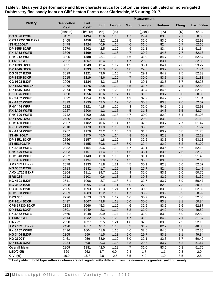|                                                                                                                            |                            |                            |      |        |         | <b>Measurement</b> |          |        |                   |
|----------------------------------------------------------------------------------------------------------------------------|----------------------------|----------------------------|------|--------|---------|--------------------|----------|--------|-------------------|
| <b>Variety</b>                                                                                                             | <b>Seedcotton</b><br>Yield | Lint<br>Yield <sup>+</sup> | Lint | Length | Mic.    | <b>Strength</b>    | Uniform. | Elong. | <b>Loan Value</b> |
|                                                                                                                            | (lb/acre)                  | (lb/acre)                  | (%)  | (in.)  | ----    | $(g$ /tex $)$      | (% )     | (% )   | ¢/LB              |
| <b>DG 3526 B2XF</b>                                                                                                        | 3452                       | 1494                       | 43.6 | 1.13   | 4.7     | 29.4               | 83.0     | 7.7    | 50.60             |
| <b>CPS 17251NR B2XF</b>                                                                                                    | 3405                       | 1450                       | 42.2 | 1.23   | 4.5     | 31.0               | 83.6     | 6.6    | 52.98             |
| <b>ST 5115GLT</b>                                                                                                          | 3478                       | 1424                       | 40.9 | 1.16   | 4.6     | 31.6               | 82.4     | 6.7    | 52.60             |
| <b>DP 1555 B2RF</b>                                                                                                        | 3279                       | 1402                       | 42.5 | 1.19   | 4.9     | 31.1               | 83.4     | 7.1    | 51.64             |
| <b>PX 4A52 W3FE</b>                                                                                                        | 3306                       | 1390                       | 42.1 | 1.16   | 4.7     | 30.2               | 84.5     | 7.7    | 52.13             |
| PHY 312 WRF                                                                                                                | 3305                       | 1388                       | 42.1 | 1.19   | 4.6     | 31.0               | 84.7     | 6.3    | 52.57             |
| <b>ST 6182GLT</b>                                                                                                          | 2992                       | 1357                       | 45.4 | 1.18   | 4.7     | 29.3               | 83.1     | 6.2    | 52.39             |
| <b>DP 1639 B2XF</b>                                                                                                        | 3091                       | 1343                       | 43.4 | 1.17   | 4.9     | 33.1               | 84.1     | 7.6    | 53.27             |
| <b>DP 1646 B2XF</b>                                                                                                        | 3071                       | 1333                       | 43.3 | 1.26   | 4.8     | 29.6               | 83.7     | 7.2    | 51.74             |
| <b>DG 3757 B2XF</b>                                                                                                        | 3029                       | 1321                       | 43.6 | 1.15   | 4.7     | 29.1               | 84.2     | 7.5    | 52.33             |
| <b>DP 1835 B3XF</b>                                                                                                        | 3015                       | 1310                       | 43.6 | 1.20   | 4.7     | 30.0               | 83.1     | 5.1    | 51.83             |
| <b>CG 9608 B3XF</b>                                                                                                        | 2906                       | 1284                       | 44.3 | 1.18   | 4.4     | 29.1               | 83.5     | 5.7    | 52.25             |
| DP 1823 NRB2XF                                                                                                             | 2978                       | 1276                       | 42.8 | 1.22   | 4.5     | 31.6               | 84.2     | 7.4    | 52.83             |
| <b>DP 1845 B3XF</b>                                                                                                        | 2974                       | 1270                       | 42.8 | 1.29   | 4.5     | 31.4               | 84.5     | 7.2    | 52.62             |
| <b>PX 5B76 W3FE</b>                                                                                                        | 3098                       | 1256                       | 40.6 | 1.17   | 4.8     | 31.3               | 83.7     | 6.0    | 50.88             |
| <b>PX 3A82 W3FE</b>                                                                                                        | 3022                       | 1254                       | 41.6 | 1.15   | 4.9     | 32.7               | 84.2     | 7.5    | 51.34             |
| <b>PX 4A57 W3FE</b>                                                                                                        | 2819                       | 1230                       | 43.5 | 1.12   | 4.6     | 30.8               | 83.3     | 7.6    | 52.07             |
| PHY 444 WRF                                                                                                                | 2922                       | 1221                       | 41.8 | 1.26   | 4.3     | 32.0               | 84.9     | 6.1    | 52.93             |
| <b>PX 3A99 W3FE</b>                                                                                                        | 2927                       | 1206                       | 41.2 | 1.16   | 4.5     | 31.3               | 84.3     | 6.5    | 52.74             |
| <b>PHY 300 W3FE</b>                                                                                                        | 2742                       | 1200                       | 43.8 | 1.13   | 4.7     | 30.0               | 82.9     | 6.4    | 51.03             |
| <b>DP 1725 B2XF</b>                                                                                                        | 2686                       | 1192                       | 44.4 | 1.18   | $5.0$   | 29.0               | 83.3     | 6.2    | 51.12             |
| <b>PHY 450 W3FE</b>                                                                                                        | 2907                       | 1182                       | 40.6 | 1.14   | 4.9     | 32.6               | 83.7     | 7.7    | 51.47             |
| <b>PX 5B73 W3FE</b>                                                                                                        | 2818                       | 1178                       | 41.9 | 1.16   | 4.8     | 30.3               | 82.8     | 6.9    | 51.97             |
| <b>PX 4A54 W3FE</b>                                                                                                        | 2787                       | 1176                       | 42.2 | 1.16   | 4.9     | 31.3               | 83.9     | 6.8    | 51.70             |
| <b>ST 4949GLT</b>                                                                                                          | 2596                       | 1170                       | 45.0 | 1.14   | 4.8     | 30.2               | 82.9     | 6.9    | 52.23             |
| DP 1851 B3XF                                                                                                               | 2766                       | 1157                       | 41.8 | 1.19   | 4.4     | 32.6               | 83.8     | 7.5    | 53.13             |
| <b>ST 5517GLTP</b>                                                                                                         | 2889                       | 1155                       | 39.8 | 1.18   | $5.0$   | 32.4               | 82.2     | 6.2    | 51.02             |
| <b>PX 2A28 W3FE</b>                                                                                                        | 2832                       | 1154                       | 40.6 | 1.18   | 4.7     | 32.1               | 83.5     | 5.6    | 52.10             |
| <b>PHY 490 W3FE</b>                                                                                                        | 2803                       | 1151                       | 41.4 | 1.15   | 4.6     | 33.1               | 83.5     | 7.6    | 52.69             |
| <b>PHY 340 W3FE</b>                                                                                                        | 2662                       | 1140                       | 42.8 | 1.18   | 4.5     | 31.1               | 83.9     | 6.3    | 51.43             |
| PX 3A96 W3FE                                                                                                               | 2839                       | 1134                       | 39.9 | 1.19   | 4.5     | 30.5               | 83.8     | 6.7    | 52.30             |
| <b>AMX 1711 B2XF</b>                                                                                                       | 2678                       | 1133                       | 41.8 | 1.21   | 4.5     | 30.1               | 82.8     | 6.0    | 52.57             |
| <b>NG 5007 B2XF</b>                                                                                                        | 2713                       | 1132                       | 41.7 | 1.15   | 4.8     | 27.7               | 82.4     | 7.5    | 51.42             |
| <b>AMX 1715 B2XF</b>                                                                                                       | 2804                       | 1111                       | 39.7 | 1.19   | 4.9     | 32.0               | 83.1     | 5.0    | 50.75             |
| <b>BRS 286</b>                                                                                                             | 2712                       | 1103                       | 40.6 | 1.13   | 4.8     | 30.8               | 82.7     | 5.9    | 51.30             |
| <b>NG 4601 B2XF</b>                                                                                                        | 2511                       | 1096                       | 43.7 | 1.18   | 5.1     | 32.7               | 83.7     | 6.9    | 50.47             |
| <b>NG 3522 B2XF</b>                                                                                                        | 2588                       | 1095                       | 42.3 | 1.11   | 5.0     | 27.2               | 82.9     | 7.3    | 50.08             |
| <b>DG 3605 B2XF</b>                                                                                                        | 2585                       | 1093                       | 42.3 | 1.24   | 4.7     | 30.5               | 83.3     | 6.8    | 52.32             |
| <b>PHY 330 W3FE</b>                                                                                                        | 2563                       | 1083                       | 42.2 | 1.18   | 4.7     | 30.9               | 83.9     | 5.9    | 50.99             |
| <b>BRS 335</b>                                                                                                             | 2726                       | 1073                       | 39.3 | 1.17   | 4.6     | 30.7               | 83.9     | 6.6    | 52.55             |
| <b>DP 1614 B2XF</b>                                                                                                        | 2437                       | 1067                       | 43.8 | 1.18   | 5.0     | 30.0               | 83.8     | 8.1    | 50.84             |
| <b>CPS 17330 B2XF</b>                                                                                                      | 2353                       | 1066                       | 45.3 | 1.19   | 4.6     | 32.6               | 83.6     | 6.6    | 52.87             |
| <b>DP 1522 B2XF</b>                                                                                                        | 2501                       | 1049                       | 42.3 | 1.19   | 5.2     | 32.0               | 84.0     | 8.0    | 49.59             |
| <b>PX 4A62 W3FE</b>                                                                                                        | 2565                       | 1048                       | 40.9 | 1.24   | 4.2     | 32.0               | 83.9     | 6.0    | 52.89             |
| <b>ST 5020GLT</b>                                                                                                          | 2614                       | 1032                       | 39.5 | 1.20   | 4.7     | 31.9               | 84.2     | 7.1    | 51.67             |
| <b>UA 222</b>                                                                                                              | 2598                       | 1027                       | 39.5 | 1.21   | 4.8     | 32.5               | 83.6     | 7.9    | 52.19             |
| <b>AMX 1710 B2XF</b>                                                                                                       | 2498                       | 1017                       | 40.7 | 1.15   | 5.3     | 31.9               | 82.7     | 4.8    | 48.83             |
| <b>PX 5A57 W3FE</b>                                                                                                        | 2416                       | 1004                       | 41.6 | 1.15   | 4.6     | 32.5               | 84.0     | 6.9    | 52.35             |
| <b>NG 3406 B2XF</b>                                                                                                        | 2305                       | 959                        | 41.5 | 1.13   | $5.0\,$ | 29.7               | 83.8     | 8.1    | 49.84             |
| <b>HQ 210CT</b>                                                                                                            | 2461                       | 956                        | 38.9 | 1.12   | 5.0     | 32.1               | 82.3     | 6.7    | 50.42             |
| <b>DP 1518 B2XF</b>                                                                                                        | 2234                       | 898                        | 40.3 | 1.18   | 4.8     | 29.8               | 83.7     | 6.2    | 51.67             |
| <b>Overall Mean</b>                                                                                                        | 2809                       | 1181                       | 42.0 | 1.18   | 4.7     | 31.0               | 83.5     | 6.8    | 51.75             |
| LSD(0.05)                                                                                                                  | 629                        | 262                        | 1.7  | 0.04   | 0.4     | 1.7                | $1.1$    | 0.8    | 2.0               |
| $C.V.$ (%)                                                                                                                 | 16.0                       | 15.8                       | 2.8  | 2.5    | 5.5     | 4.0                | 1.0      | 8.5    | 2.8               |
| † Lint yields in bold type within a column are not significantly different from the numerically greatest yielding variety. |                            |                            |      |        |         |                    |          |        |                   |

**Table 8. Mean yield performance and fiber characteristics for cotton varieties cultivated on non-irrigated Dubbs very fine sandy loam on Cliff Heaton Farms near Clarksdale, MS during 2017.**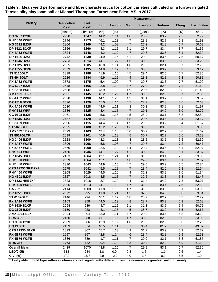|                                            |                            | <b>Measurement</b>         |              |              |            |                 |              |                |                   |
|--------------------------------------------|----------------------------|----------------------------|--------------|--------------|------------|-----------------|--------------|----------------|-------------------|
| <b>Variety</b>                             | <b>Seedcotton</b><br>Yield | Lint<br>Yield <sup>+</sup> | Lint         | Length       | Mic.       | <b>Strength</b> | Uniform.     | Elong.         | <b>Loan Value</b> |
|                                            | (lb/acre)                  | (lb/acre)                  | (% )         | (in.)        | ----       | $(g$ /tex $)$   | (% )         | (% )           | $\mathcal{C}/LB$  |
| <b>DG 3757 B2XF</b>                        | 2990                       | 1347                       | 44.2         | 1.14         | 4.8        | 28.7            | 83.2         | 7.2            | 52.72             |
| <b>PHY 340 W3FE</b>                        | 2746                       | 1273                       | 46.1         | 1.13         | 4.7        | 28.8            | 82.7         | 5.8            | 51.93             |
| <b>NG 3522 B2XF</b>                        | 2806                       | 1269                       | 44.2         | 1.09         | 4.7        | 27.2            | 81.9         | 6.7            | 50.69             |
| <b>DP 1522 B2XF</b>                        | 2856                       | 1266                       | 44.3         | 1.15         | 5.1        | 29.7            | 83.4         | 8.7            | 51.55             |
| <b>PX 4A52 W3FE</b>                        | 2824                       | 1248                       | 44.2         | 1.12         | 4.7        | 29.6            | 83.5         | 8.1            | 52.30             |
| <b>DP 1614 B2XF</b>                        | 2742                       | 1230                       | 44.9         | 1.16         | 5.1        | 29.2            | 83.6         | 7.5            | 50.67             |
| <b>DP 1646 B2XF</b>                        | 2733                       | 1214                       | 44.1         | 1.27         | 4.6        | 30.0            | 83.6         | 6.8            | 53.28             |
| <b>DP 1725 B2XF</b>                        | 2565                       | 1205                       | 46.8         | 1.14         | 4.8        | 29.2            | 82.4         | 5.7            | 52.73             |
| <b>DP 1555 B2RF</b>                        | 2653                       | 1195                       | 44.8         | 1.19         | 4.7        | 30.5            | 83.9         | 6.2            | 53.17             |
| <b>ST 5115GLT</b>                          | 2818                       | 1188                       | 41.9         | 1.15         | 4.5        | 29.4            | 82.5         | 6.7            | 52.85             |
| <b>ST 4949GLT</b>                          | 2526                       | 1184                       | 46.9         | 1.12         | 4.9        | 28.2            | 82.8         | $7.3$          | 50.88             |
| <b>PX 3A82 W3FE</b><br><b>NG 5007 B2XF</b> | 2578                       | 1175                       | 45.4         | 1.09         | 4.7        | 29.7            | 83.3         | 7.7            | 51.00             |
| <b>PX 2A28 W3FE</b>                        | 2648<br>2608               | 1166                       | 43.8         | 1.10         | 4.7<br>4.9 | 27.0<br>29.6    | 82.8<br>82.0 | 7.2<br>5.8     | 51.60<br>51.42    |
| <b>AMX 1715 B2XF</b>                       | 2861                       | 1147<br>1145               | 43.9<br>40.2 | 1.13<br>1.22 | 4.7        | 30.6            | 82.6         | 5.7            |                   |
| <b>PX 4A62 W3FE</b>                        | 2578                       | 1138                       | 44.1         | 1.20         | 4.3        | 31.1            | 83.7         | 5.8            | 52.83<br>53.52    |
| <b>DP 1518 B2XF</b>                        | 2526                       | 1129                       | 45.0         | 1.14         | 4.7        | 27.7            | 82.3         | 6.6            | 52.63             |
| <b>PX 4A54 W3FE</b>                        | 2530                       | 1128                       | 44.6         | 1.11         | 4.8        | 30.3            | 83.2         | 7.1            | 51.97             |
| <b>PHY 312 WRF</b>                         | 2586                       | 1125                       | 43.4         | 1.15         | 4.7        | 29.1            | 84.0         | 6.0            | 52.72             |
| <b>CG 9608 B3XF</b>                        | 2461                       | 1125                       | 45.6         | 1.16         | 4.5        | 28.9            | 83.1         | 5.8            | 52.80             |
| <b>DP 1835 B3XF</b>                        | 2457                       | 1120                       | 45.4         | 1.18         | 4.5        | 29.7            | 83.6         | 5.4            | 53.17             |
| <b>PX 3A99 W3FE</b>                        | 2506                       | 1115                       | 44.4         | 1.14         | 4.9        | 29.2            | 83.2         | 6.4            | 51.57             |
| <b>ST 5020GLT</b>                          | 2625                       | 1108                       | 42.2         | 1.23         | 4.6        | 31.8            | 83.6         | 6.9            | 53.05             |
| <b>AMX 1710 B2XF</b>                       | 2593                       | 1103                       | 42.4         | 1.13         | 5.0        | 30.2            | 82.9         | 5.0            | 51.69             |
| <b>ST 5517GLTP</b>                         | 2699                       | 1101                       | 40.6         | 1.18         | 4.5        | 30.7            | 82.7         | 6.6            | 53.29             |
| <b>NG 3406 B2XF</b>                        | 2528                       | 1100                       | 43.3         | 1.13         | 4.8        | 28.5            | 83.5         | 7.5            | 52.39             |
| <b>PX 4A57 W3FE</b>                        | 2396                       | 1098                       | 45.8         | 1.08         | 4.7        | 29.8            | 83.4         | 7.2            | 50.47             |
| <b>PX 5A57 W3FE</b>                        | 2560                       | 1090                       | 42.5         | 1.13         | 4.4        | 29.4            | 83.5         | 6.1            | 52.97             |
| PHY 444 WRF                                | 2450                       | 1086                       | 44.1         | 1.27         | 4.1        | 30.3            | 84.8         | 6.1            | 53.37             |
| <b>DP 1845 B3XF</b>                        | 2463                       | 1064                       | 43.1         | 1.24         | 4.2        | 31.6            | 83.1         | 7.3            | 53.39             |
| <b>PHY 300 W3FE</b>                        | 2353                       | 1064                       | 45.1         | 1.13         | 4.8        | 29.0            | 83.4         | 6.1            | 52.37             |
| <b>PHY 330 W3FE</b>                        | 2310                       | 1043                       | 44.9         | 1.15         | 4.7        | 29.5            | 83.2         | 5.5            | 52.84             |
| <b>CPS 17251NR B2XF</b>                    | 2275                       | 1042                       | 45.5         | 1.18         | 4.7        | 28.4            | 82.0         | 6.8            | 52.54             |
| <b>PHY 450 W3FE</b>                        | 2308                       | 1029                       | 44.5         | 1.10         | 4.9        | 32.2            | 83.9         | 7.6            | 51.34             |
| <b>NG 4601 B2XF</b>                        | 2327                       | 1018                       | 43.5         | 1.18         | 4.7        | 32.2            | 83.8         | 6.8            | 52.47             |
| <b>DP 1823 NRB2XF</b>                      | 2323                       | 1018                       | 43.7         | 1.19         | 4.4        | 31.4            | 84.2         | 7.3            | 53.07             |
| <b>PHY 490 W3FE</b>                        | 2295                       | 1013                       | 44.1         | 1.13         | 4.7        | 31.9            | 83.4         | $7.5$          | 52.53             |
| <b>UA 222</b>                              | 2414                       | 1008                       | 41.8         | 1.18         | 4.7        | 31.3            | 83.6         | 8.1            | 53.09             |
| <b>DP 1851 B3XF</b>                        | 2372                       | 995                        | 41.8         | 1.21         | 4.2        | 32.8            | 84.0         | 6.8            | 53.34             |
| <b>ST 6182GLT</b>                          | 2146                       | 994                        | 46.1         | 1.12         | 4.8        | 28.2            | 82.9         | 6.3            | 52.29             |
| <b>PX 3A96 W3FE</b>                        | 2163                       | 958                        | 44.0         | 1.13         | 4.8        | 28.7            | 83.3         | 6.3            | 52.68             |
| <b>DP 1639 B2XF</b>                        | 2094                       | 939                        | 44.7         | 1.12         | 5.1        | 31.3            | 83.7         | 7.4            | 50.75             |
| <b>DG 3605 B2XF</b>                        | 2150                       | 928                        | 43.1         | 1.25         | 4.5        | 28.7            | 83.0         | 6.5            | 52.67             |
| <b>AMX 1711 B2XF</b><br><b>BRS 335</b>     | 2094<br>2150               | 904<br>888                 | 43.0<br>41.1 | 1.21         | 4.7<br>4.7 | 29.9            | 83.4<br>82.8 | 6.3            | 53.22             |
| <b>DG 3526 B2XF</b>                        | 2009                       | 886                        | 43.9         | 1.15<br>1.12 |            | 30.3<br>29.0    | 82.8         | $6.0\,$<br>8.8 | 53.03<br>52.20    |
| <b>HQ 210CT</b>                            | 2133                       | 874                        | 40.5         | 1.11         | 4.8<br>5.1 | 30.4            | 81.7         | 6.3            | 49.87             |
| <b>CPS 17330 B2XF</b>                      | 1893                       | 867                        | 45.7         | 1.13         | 4.9        | 31.7            | 83.9         | 6.9            | 52.72             |
| <b>PX 5B73 W3FE</b>                        | 1997                       | 857                        | 42.8         | 1.14         | 4.6        | 28.4            | 82.8         | 5.9            | 52.53             |
| <b>PX 5B76 W3FE</b>                        | 1886                       | 789                        | 41.7         | 1.11         | 4.7        | 29.0            | 82.1         | 5.8            | 51.87             |
| <b>BRS 286</b>                             | 1763                       | 722                        | 40.4         | 1.10         | 4.8        | 30.4            | 82.0         | 5.9            | 51.14             |
| <b>Overall Mean</b>                        | 2439                       | 1070                       | 43.8         | 1.15         | 4.7        | 29.9            | 83.1         | 6.7            | 52.30             |
| LSD(0.05)                                  | 613                        | 284                        | 1.8          | 0.04         | 0.3        | 1.6             | $1.1$        | 0.6            | 1.4               |
| C.V. (%)                                   | 17.9                       | 18.8                       | 2.9          | 2.2          | 4.0        | 3.8             | 0.9          | 6.5            | 1.9               |

**Table 9. Mean yield performance and fiber characteristics for cotton varieties cultivated on a furrow irrigated Tensas silty clay loam soil at Michael Thompson Farms near Eden, MS in 2017.**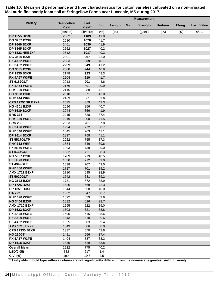|                                                                                                                            |                            | <b>Measurement</b>         |              |        |          |                 |          |        |                   |
|----------------------------------------------------------------------------------------------------------------------------|----------------------------|----------------------------|--------------|--------|----------|-----------------|----------|--------|-------------------|
| <b>Variety</b>                                                                                                             | <b>Seedcotton</b><br>Yield | Lint<br>Yield <sup>+</sup> | Lint         | Length | Mic.     | <b>Strength</b> | Uniform. | Elong. | <b>Loan Value</b> |
|                                                                                                                            | (lb/acre)                  | (lb/acre)                  | (% )         | (in.)  | $\cdots$ | $(g$ /tex $)$   | (%)      | (%)    | ¢/LB              |
| <b>DP 1555 B2RF</b>                                                                                                        | 2662                       | 1109                       | 41.8         |        |          |                 |          |        |                   |
| <b>DG 3757 B2XF</b>                                                                                                        | 2580                       | 1076                       | 41.7         |        |          |                 |          |        |                   |
| <b>DP 1646 B2XF</b>                                                                                                        | 2461                       | 1030                       | 41.9         |        |          |                 |          |        |                   |
| <b>DP 1845 B3XF</b>                                                                                                        | 2552                       | 1027                       | 40.2         |        |          |                 |          |        |                   |
| <b>DP 1823 NRB2XF</b>                                                                                                      | 2512                       | 1017                       | 40.3         |        |          |                 |          |        |                   |
| <b>DG 3526 B2XF</b>                                                                                                        | 2301                       | 967                        | 42.0         |        |          |                 |          |        |                   |
| <b>PX 4A52 W3FE</b>                                                                                                        | 2383                       | 959                        | 40.1         |        |          |                 |          |        |                   |
| <b>PX 3A82 W3FE</b>                                                                                                        | 2299                       | 949                        | 41.2         |        |          |                 |          |        |                   |
| <b>DG 3605 B2XF</b>                                                                                                        | 2308                       | 944                        | 40.9         |        |          |                 |          |        |                   |
| <b>DP 1835 B3XF</b>                                                                                                        | 2178                       | 923                        | 42.3         |        |          |                 |          |        |                   |
| <b>PX 4A57 W3FE</b>                                                                                                        | 2204                       | 919                        | 41.7         |        |          |                 |          |        |                   |
| <b>ST 6182GLT</b>                                                                                                          | 2018                       | 901                        | 44.6         |        |          |                 |          |        |                   |
| <b>PX 4A54 W3FE</b>                                                                                                        | 2176                       | 891                        | 40.9         |        |          |                 |          |        |                   |
| <b>PHY 300 W3FE</b>                                                                                                        | 2115                       | 888                        | 42.1         |        |          |                 |          |        |                   |
| <b>CG 9608 B3XF</b>                                                                                                        | 2018                       | 871                        | 43.0         |        |          |                 |          |        |                   |
| <b>PHY 444 WRF</b><br><b>CPS 17251NR B2XF</b>                                                                              | 2163<br>2035               | 861                        | 39.6         |        |          |                 |          |        |                   |
| <b>NG 4601 B2XF</b>                                                                                                        |                            | 859<br>856                 | 42.3         |        |          |                 |          |        |                   |
| <b>DP 1639 B2XF</b>                                                                                                        | 2096<br>2044               | 856                        | 40.7<br>41.9 |        |          |                 |          |        |                   |
| <b>BRS 335</b>                                                                                                             | 2215                       | 828                        | 37.4         |        |          |                 |          |        |                   |
| <b>PHY 330 W3FE</b>                                                                                                        | 1919                       | 800                        | 41.5         |        |          |                 |          |        |                   |
| <b>BRS 286</b>                                                                                                             | 2053                       | 781                        | 37.8         |        |          |                 |          |        |                   |
| PX 3A96 W3FE                                                                                                               | 1994                       | 772                        | 38.7         |        |          |                 |          |        |                   |
| <b>PHY 340 W3FE</b>                                                                                                        | 1845                       | 763                        | 41.1         |        |          |                 |          |        |                   |
| <b>DP 1614 B2XF</b>                                                                                                        | 1837                       | 758                        | 41.1         |        |          |                 |          |        |                   |
| <b>ST 5517GLTP</b>                                                                                                         | 2022                       | 755                        | 37.3         |        |          |                 |          |        |                   |
| <b>PHY 312 WRF</b>                                                                                                         | 1884                       | 746                        | 39.6         |        |          |                 |          |        |                   |
| <b>PX 5B76 W3FE</b>                                                                                                        | 1893                       | 738                        | 39.0         |        |          |                 |          |        |                   |
| <b>ST 5115GLT</b>                                                                                                          | 1882                       | 721                        | 38.3         |        |          |                 |          |        |                   |
| <b>NG 5007 B2XF</b>                                                                                                        | 1789                       | 719                        | 40.5         |        |          |                 |          |        |                   |
| <b>PX 5B73 W3FE</b>                                                                                                        | 1830                       | 712                        | 39.0         |        |          |                 |          |        |                   |
| <b>ST 4949GLT</b>                                                                                                          | 1638                       | 707                        | 43.0         |        |          |                 |          |        |                   |
| <b>PHY 450 W3FE</b>                                                                                                        | 1787                       | 701                        | 39.2         |        |          |                 |          |        |                   |
| <b>AMX 1711 B2XF</b>                                                                                                       | 1780                       | 695                        | 38.9         |        |          |                 |          |        |                   |
| <b>ST 5020GLT</b>                                                                                                          | 1742                       | 681                        | 39.2         |        |          |                 |          |        |                   |
| <b>NG 3522 B2XF</b>                                                                                                        | 1731                       | 672                        | 38.9         |        |          |                 |          |        |                   |
| <b>DP 1725 B2XF</b>                                                                                                        | 1580                       | 668                        | 42.3         |        |          |                 |          |        |                   |
| <b>DP 1851 B3XF</b>                                                                                                        | 1644                       | 658                        | 40.0         |        |          |                 |          |        |                   |
| <b>UA 222</b>                                                                                                              | 1662                       | 647                        | 38.7         |        |          |                 |          |        |                   |
| <b>PHY 490 W3FE</b>                                                                                                        | 1592                       | 629                        | 39.6         |        |          |                 |          |        |                   |
| <b>NG 3406 B2XF</b>                                                                                                        | 1612                       | 626                        | 38.7         |        |          |                 |          |        |                   |
| <b>AMX 1710 B2XF</b>                                                                                                       | 1595                       | 622                        | 39.0         |        |          |                 |          |        |                   |
| <b>DP 1522 B2XF</b>                                                                                                        | 1603                       | 621                        | 38.8         |        |          |                 |          |        |                   |
| <b>PX 2A28 W3FE</b>                                                                                                        | 1595                       | 615                        | 38.6         |        |          |                 |          |        |                   |
| <b>PX 3A99 W3FE</b>                                                                                                        | 1543                       | 610                        | 39.6         |        |          |                 |          |        |                   |
| <b>PX 4A62 W3FE</b>                                                                                                        | 1525                       | 603                        | 39.4         |        |          |                 |          |        |                   |
| <b>AMX 1715 B2XF</b>                                                                                                       | 1543                       | 586                        | 38.0         |        |          |                 |          |        |                   |
| <b>CPS 17330 B2XF</b>                                                                                                      | 1337                       | 570                        | 42.6         |        |          |                 |          |        |                   |
| <b>HQ 210CT</b>                                                                                                            | 1491                       | 556                        | 37.4         |        |          |                 |          |        |                   |
| <b>PX 5A57 W3FE</b>                                                                                                        | 1404                       | 537                        | 38.2         |        |          |                 |          |        |                   |
| <b>DP 1518 B2XF</b>                                                                                                        | 1335                       | 529                        | 38.8         |        |          |                 |          |        |                   |
| <b>Overall Mean</b>                                                                                                        | 1922                       | 775                        | 40.2         |        |          |                 |          |        |                   |
| LSD(0.05)                                                                                                                  | 532                        | 217                        | 1.4          |        |          |                 |          |        |                   |
| $C.V.$ (%)                                                                                                                 | 19.4                       | 19.6                       | 2.5          |        |          |                 |          |        |                   |
| † Lint yields in bold type within a column are not significantly different from the numerically greatest yielding variety. |                            |                            |              |        |          |                 |          |        |                   |

**Table 10. Mean yield performance and fiber characteristics for cotton varieties cultivated on a non-irrigated McLaurin fine sandy loam soil at Stringellow Farms near Lucedale, MS during 2017.**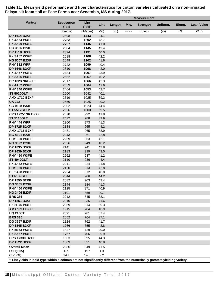|                                                                                                                            |                            |                            |              |        |           | <b>Measurement</b> |          |        |                   |
|----------------------------------------------------------------------------------------------------------------------------|----------------------------|----------------------------|--------------|--------|-----------|--------------------|----------|--------|-------------------|
| <b>Variety</b>                                                                                                             | <b>Seedcotton</b><br>Yield | Lint<br>Yield <sup>+</sup> | Lint         | Length | Mic.      | <b>Strength</b>    | Uniform. | Elong. | <b>Loan Value</b> |
|                                                                                                                            | (lb/acre)                  | (lb/acre)                  | (% )         | (in.)  | $- - - -$ | $(g$ /tex $)$      | (%)      | (%)    | ¢/LB              |
| <b>DP 1614 B2XF</b>                                                                                                        | 2808                       | 1243                       | 44.1         |        |           |                    |          |        |                   |
| <b>PX 4A54 W3FE</b>                                                                                                        | 2753                       | 1202                       | 43.7         |        |           |                    |          |        |                   |
| <b>PX 3A99 W3FE</b>                                                                                                        | 2797                       | 1145                       | 41.0         |        |           |                    |          |        |                   |
| <b>DG 3526 B2XF</b>                                                                                                        | 2684                       | 1145                       | 42.4         |        |           |                    |          |        |                   |
| <b>DP 1518 B2XF</b>                                                                                                        | 2824                       | 1131                       | 40.0         |        |           |                    |          |        |                   |
| <b>PX 3A82 W3FE</b>                                                                                                        | 2618                       | 1108                       | 42.2         |        |           |                    |          |        |                   |
| <b>NG 5007 B2XF</b>                                                                                                        | 2649                       | 1102                       | 41.6         |        |           |                    |          |        |                   |
| PHY 312 WRF                                                                                                                | 2722                       | 1099                       | 40.4         |        |           |                    |          |        |                   |
| <b>DP 1646 B2XF</b>                                                                                                        | 2610                       | 1098                       | 42.0         |        |           |                    |          |        |                   |
| <b>PX 4A57 W3FE</b>                                                                                                        | 2484                       | 1097                       | 43.9         |        |           |                    |          |        |                   |
| PX 3A96 W3FE                                                                                                               | 2652                       | 1067                       | 40.2         |        |           |                    |          |        |                   |
| <b>DP 1823 NRB2XF</b>                                                                                                      | 2517                       | 1066                       | 42.3         |        |           |                    |          |        |                   |
| <b>PX 4A52 W3FE</b>                                                                                                        | 2553                       | 1064                       | 41.6         |        |           |                    |          |        |                   |
| <b>PHY 340 W3FE</b>                                                                                                        | 2464                       | 1053                       | 42.7         |        |           |                    |          |        |                   |
| <b>ST 5020GLT</b>                                                                                                          | 2600                       | 1042                       | 40.1         |        |           |                    |          |        |                   |
| <b>AMX 1710 B2XF</b>                                                                                                       | 2619                       | 1025                       | 39.2         |        |           |                    |          |        |                   |
| <b>UA 222</b>                                                                                                              | 2550                       | 1025                       | 40.2         |        |           |                    |          |        |                   |
| <b>CG 9608 B3XF</b>                                                                                                        | 2302                       | 1023                       | 44.4         |        |           |                    |          |        |                   |
| <b>ST 5517GLTP</b>                                                                                                         | 2526                       | 1000                       | 39.5         |        |           |                    |          |        |                   |
| <b>CPS 17251NR B2XF</b>                                                                                                    | 2370                       | 992                        | 41.8         |        |           |                    |          |        |                   |
| <b>ST 5115GLT</b>                                                                                                          | 2472                       | 988                        | 39.9         |        |           |                    |          |        |                   |
| <b>PHY 444 WRF</b>                                                                                                         | 2360                       | 973                        | 41.3         |        |           |                    |          |        |                   |
| <b>DP 1725 B2XF</b>                                                                                                        | 2184                       | 965                        | 44.2         |        |           |                    |          |        |                   |
| <b>AMX 1715 B2XF</b>                                                                                                       | 2481                       | 965                        | 38.9         |        |           |                    |          |        |                   |
| <b>NG 4601 B2XF</b><br><b>PHY 300 W3FE</b>                                                                                 | 2243                       | 961                        | 42.8         |        |           |                    |          |        |                   |
| <b>NG 3522 B2XF</b>                                                                                                        | 2259<br>2326               | 953<br>949                 | 42.1<br>40.2 |        |           |                    |          |        |                   |
| <b>DP 1835 B3XF</b>                                                                                                        | 2141                       | 941                        | 43.8         |        |           |                    |          |        |                   |
| <b>DP 1639 B2XF</b>                                                                                                        | 2183                       | 939                        | 43.0         |        |           |                    |          |        |                   |
| <b>PHY 490 W3FE</b>                                                                                                        | 2262                       | 937                        | 41.2         |        |           |                    |          |        |                   |
| <b>ST 4949GLT</b>                                                                                                          | 2110                       | 936                        | 44.4         |        |           |                    |          |        |                   |
| <b>PX 4A62 W3FE</b>                                                                                                        | 2211                       | 924                        | 41.8         |        |           |                    |          |        |                   |
| <b>PHY 330 W3FE</b>                                                                                                        | 2120                       | 913                        | 42.8         |        |           |                    |          |        |                   |
| <b>PX 2A28 W3FE</b>                                                                                                        | 2234                       | 912                        | 40.8         |        |           |                    |          |        |                   |
| <b>ST 6182GLT</b>                                                                                                          | 2044                       | 906                        | 44.2         |        |           |                    |          |        |                   |
| <b>DP 1555 B2RF</b>                                                                                                        | 2082                       | 903                        | 43.4         |        |           |                    |          |        |                   |
| <b>DG 3605 B2XF</b>                                                                                                        | 2144                       | 884                        | 41.3         |        |           |                    |          |        |                   |
| <b>PHY 450 W3FE</b>                                                                                                        | 2125                       | 871                        | 40.9         |        |           |                    |          |        |                   |
| <b>NG 3406 B2XF</b>                                                                                                        | 2101                       | 859                        | 40.7         |        |           |                    |          |        |                   |
| <b>BRS 286</b>                                                                                                             | 2212                       | 845                        | 38.1         |        |           |                    |          |        |                   |
| <b>DP 1851 B3XF</b>                                                                                                        | 2010                       | 836                        | 41.6         |        |           |                    |          |        |                   |
| <b>PX 5B76 W3FE</b>                                                                                                        | 2069                       | 814                        | 39.3         |        |           |                    |          |        |                   |
| <b>AMX 1711 B2XF</b>                                                                                                       | 1915                       | 784                        | 40.9         |        |           |                    |          |        |                   |
| <b>HQ 210CT</b>                                                                                                            | 2091                       | 781                        | 37.4         |        |           |                    |          |        |                   |
| <b>BRS 335</b>                                                                                                             | 2052                       | 764                        | 37.1         |        |           |                    |          |        |                   |
| <b>DG 3757 B2XF</b>                                                                                                        | 1824                       | 762                        | 41.7         |        |           |                    |          |        |                   |
| <b>DP 1845 B3XF</b>                                                                                                        | 1766                       | 755                        | 42.8         |        |           |                    |          |        |                   |
| <b>PX 5B73 W3FE</b>                                                                                                        | 1827                       | 729                        | 40.0         |        |           |                    |          |        |                   |
| <b>PX 5A57 W3FE</b>                                                                                                        | 1767                       | 706                        | 39.9         |        |           |                    |          |        |                   |
| <b>CPS 17330 B2XF</b>                                                                                                      | 1563                       | 695                        | 44.3         |        |           |                    |          |        |                   |
| <b>DP 1522 B2XF</b>                                                                                                        | 1303                       | 531                        | 40.8         |        |           |                    |          |        |                   |
| <b>Overall Mean</b>                                                                                                        | 2286                       | 949                        | 41.5         |        |           |                    |          |        |                   |
| LSD(0.05)                                                                                                                  | 459                        | 197                        | 1.3          |        |           |                    |          |        |                   |
| $C.V.$ (%)                                                                                                                 | 14.1                       | 14.6                       | 2.2          |        |           |                    |          |        |                   |
| † Lint yields in bold type within a column are not significantly different from the numerically greatest yielding variety. |                            |                            |              |        |           |                    |          |        |                   |

**Table 11. Mean yield performance and fiber characteristics for cotton varieties cultivated on a non-irrigated Falaya silt loam soil at Pace Farms near Senatobia, MS during 2017.**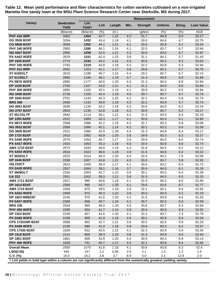|                                                                                                                            |                            | <b>Measurement</b>         |              |              |            |                 |              |            |                   |
|----------------------------------------------------------------------------------------------------------------------------|----------------------------|----------------------------|--------------|--------------|------------|-----------------|--------------|------------|-------------------|
| <b>Variety</b>                                                                                                             | <b>Seedcotton</b><br>Yield | Lint<br>Yield <sup>+</sup> | Lint         | Length       | Mic.       | <b>Strength</b> | Uniform.     | Elong.     | <b>Loan Value</b> |
|                                                                                                                            | (lb/acre)                  | (lb/acre)                  | (% )         | (in.)        | ----       | $(g$ /tex $)$   | (% )         | (% )       | ¢/LB              |
| PHY 444 WRF                                                                                                                | 3402                       | 1454                       | 42.7         | 1.22         | 4.2        | 31.7            | 84.9         | 6.0        | 53.17             |
| <b>DG 3526 B2XF</b>                                                                                                        | 3294                       | 1432                       | 43.4         | 1.19         | 4.1        | 29.0            | 84.6         | 6.7        | 52.75             |
| <b>CG 9608 B3XF</b>                                                                                                        | 3059                       | 1352                       | 44.1         | 1.21         | 4.1        | 30.6            | 83.8         | 6.1        | 53.34             |
| <b>PHY 340 W3FE</b>                                                                                                        | 2905                       | 1280                       | 44.1         | 1.24         | 4.1        | 32.0            | 83.7         | 6.7        | 52.64             |
| <b>NG 5007 B2XF</b>                                                                                                        | 2995                       | 1259                       | 42.0         | 1.21         | 4.3        | 30.0            | 83.0         | 6.7        | 52.97             |
| <b>PX 4A62 W3FE</b>                                                                                                        | 2878                       | 1241                       | 42.4         | 1.23         | 3.8        | 31.1            | 84.1         | 5.7        | 51.43             |
| <b>DP 1835 B3XF</b>                                                                                                        | 2774                       | 1232                       | 44.2         | 1.21         | 4.3        | 30.6            | 83.2         | 6.3        | 53.03             |
| <b>PHY 330 W3FE</b>                                                                                                        | 2783                       | 1219                       | 43.8         | 1.19         | 4.3        | 32.2            | 83.9         | 6.3        | 52.94             |
| <b>PHY 312 WRF</b>                                                                                                         | 2932                       | 1203                       | 41.1         | 1.17         | 3.8        | 29.8            | 83.1         | 6.7        | 50.75             |
| <b>ST 6182GLT</b>                                                                                                          | 2615                       | 1198                       | 45.7         | 1.15         | 4.4        | 29.2            | 82.7         | 6.7        | 52.14             |
| <b>ST 5115GLT</b>                                                                                                          | 2965                       | 1190                       | 40.1         | 1.19         | 3.7        | 31.4            | 83.8         | 6.5        | 51.68             |
| <b>PX 5B76 W3FE</b>                                                                                                        | 2890                       | 1177                       | 40.6         | 1.20         | 4.3        | 31.3            | 84.4         | 6.8        | 52.64             |
| <b>DP 1639 B2XF</b>                                                                                                        | 2700                       | 1167                       | 43.2         | 1.21         | 4.1        | 31.1            | 84.6         | 6.6        | 52.84             |
| <b>PHY 300 W3FE</b>                                                                                                        | 2692                       | 1160                       | 43.1         | 1.19         | 4.1        | 30.9            | 84.2         | 6.5        | 52.84             |
| <b>NG 3406 B2XF</b>                                                                                                        | 2726                       | 1155                       | 42.4         | 1.19         | 4.0        | 29.7            | 83.7         | 6.7        | 52.74             |
| <b>DP 1845 B3XF</b>                                                                                                        | 2701                       | 1143                       | 42.3         | 1.25         | 4.2        | 32.1            | 84.4         | 5.8        | 52.74             |
| <b>BRS 286</b>                                                                                                             | 2928                       | 1142                       | 39.0         | 1.19         | 4.2        | 32.2            | 83.9         | 5.7        | 52.73             |
| <b>NG 4601 B2XF</b>                                                                                                        | 2636                       | 1139                       | 43.2         | 1.19         | 4.3        | 30.6            | 84.0         | 6.2        | 53.24             |
| <b>DG 3757 B2XF</b>                                                                                                        | 2653                       | 1135                       | 42.8         | 1.18         | 4.2        | 30.0            | 83.7         | 6.2        | 53.17             |
| <b>ST 5517GLTP</b><br><b>DP 1555 B2RF</b>                                                                                  | 2842<br>2512               | 1114                       | 39.1<br>43.3 | 1.21         | 4.2<br>4.1 | 31.0<br>30.8    | 83.0<br>83.4 | 6.3<br>6.1 | 52.18<br>52.80    |
| <b>PX 5B73 W3FE</b>                                                                                                        | 2568                       | 1089<br>1086               | 42.2         | 1.17<br>1.19 | 4.3        | 31.7            | 83.3         | 5.8        | 53.09             |
| <b>NG 3522 B2XF</b>                                                                                                        | 2569                       | 1084                       | 42.1         | 1.14         | 4.2        | 30.1            | 83.2         | 6.4        | 52.59             |
| <b>DG 3605 B2XF</b>                                                                                                        | 2521                       | 1080                       | 42.9         | 1.26         | 4.4        | 31.3            | 84.8         | 6.4        | 53.17             |
| <b>DP 1725 B2XF</b>                                                                                                        | 2410                       | 1062                       | 43.9         | 1.20         | 3.8        | 29.9            | 83.3         | 6.2        | 52.37             |
| <b>PX 3A96 W3FE</b>                                                                                                        | 2575                       | 1053                       | 40.7         | 1.17         | 3.9        | 29.9            | 84.0         | 6.5        | 52.74             |
| <b>PX 4A57 W3FE</b>                                                                                                        | 2424                       | 1053                       | 43.3         | 1.16         | 4.0        | 30.4            | 83.9         | 6.6        | 52.74             |
| <b>AMX 1710 B2XF</b>                                                                                                       | 2573                       | 1033                       | 40.0         | 1.19         | 4.3        | 31.6            | 84.5         | 6.2        | 53.12             |
| <b>PX 4A54 W3FE</b>                                                                                                        | 2616                       | 1022                       | 38.8         | 1.19         | 3.9        | 31.5            | 83.8         | 6.2        | 53.22             |
| <b>ST 5020GLT</b>                                                                                                          | 2523                       | 1014                       | 40.3         | 1.20         | 4.0        | 32.4            | 84.2         | 7.5        | 52.09             |
| <b>DP 1646 B2XF</b>                                                                                                        | 2298                       | 1007                       | 43.8         | 1.21         | 4.3        | 30.0            | 83.7         | 5.8        | 52.92             |
| <b>HQ 210CT</b>                                                                                                            | 2623                       | 1005                       | 38.3         | 1.17         | 4.1        | 30.6            | 83.2         | 6.3        | 52.72             |
| <b>PX 2A28 W3FE</b>                                                                                                        | 2557                       | 1004                       | 39.1         | 1.16         | 3.7        | 30.4            | 84.0         | 6.1        | 51.19             |
| <b>ST 4949GLT</b>                                                                                                          | 2334                       | 1003                       | 42.7         | 1.22         | 3.8        | 30.1            | 83.5         | 6.4        | 52.39             |
| <b>UA 222</b>                                                                                                              | 2551                       | 1002                       | 39.3         | 1.21         | 3.8        | 31.5            | 84.5         | 6.5        | 52.20             |
| <b>AMX 1711 B2XF</b>                                                                                                       | 2427                       | 995                        | 40.6         | 1.19         | 4.1        | 31.5            | 84.2         | 6.0        | 52.90             |
| <b>DP 1614 B2XF</b>                                                                                                        | 2269                       | 995                        | 43.7         | 1.20         | 4.1        | 29.6            | 83.6         | 6.7        | 52.77             |
| <b>AMX 1715 B2XF</b>                                                                                                       | 2459                       | 975                        | 39.5         | 1.18         | 3.9        | 32.1            | 83.1         | 6.4        | 52.82             |
| <b>PX 4A52 W3FE</b>                                                                                                        | 2409                       | 973                        | 40.3         | 1.22         | 3.9        | 30.3            | 83.3         | 6.2        | 52.19             |
| DP 1823 NRB2XF                                                                                                             | 2245                       | 970                        | 41.6         | 1.20         | 4.2        | 31.5            | 83.8         | 6.6        | 51.53             |
| <b>PX 5A57 W3FE</b>                                                                                                        | 2368                       | 968                        | 40.7         | 1.16         | 4.1        | 29.7            | 82.5         | 6.0        | 52.59             |
| <b>BRS 335</b>                                                                                                             | 2534                       | 965                        | 38.0         | 1.20         | 4.0        | 30.6            | 83.7         | 6.3        | 52.64             |
| <b>PHY 450 W3FE</b>                                                                                                        | 2290                       | 954                        | 41.7         | 1.14         | 3.9        | 30.4            | 83.8         | 6.3        | 52.52             |
| <b>DP 1522 B2XF</b>                                                                                                        | 2230                       | 927                        | 41.6         | 1.20         | 4.1        | 32.2            | 83.7         | 7.3        | 52.75             |
| <b>PX 3A82 W3FE</b>                                                                                                        | 2199                       | 905                        | 41.9         | 1.19         | 4.0        | 30.1            | 83.9         | 6.3        | 52.04             |
| <b>CPS 17251NR B2XF</b>                                                                                                    | 2089                       | 892                        | 42.7         | 1.21         | 3.8        | 30.5            | 82.6         | 5.9        | 52.29             |
| <b>PX 3A99 W3FE</b>                                                                                                        | 2156                       | 888                        | 41.0         | 1.18         | 3.9        | 29.8            | 83.3         | 6.2        | 52.57             |
| <b>CPS 17330 B2XF</b>                                                                                                      | 1826                       | 832                        | 45.5         | 1.22         | 4.1        | 32.3            | 83.9         | 5.9        | 53.34             |
| <b>DP 1518 B2XF</b>                                                                                                        | 2114                       | 809                        | 38.3         | 1.19         | 3.8        | 31.3            | 83.9         | 6.9        | 52.40             |
| DP 1851 B3XF                                                                                                               | 1861                       | 805                        | 43.9         | 1.20         | 4.4        | 30.9            | 84.4         | 6.9        | 53.14             |
| <b>PHY 490 W3FE</b>                                                                                                        | 1828                       | 741                        | 40.7         | 1.17         | 4.2        | 32.1            | 83.8         | 6.4        | 52.82             |
| <b>Overall Mean</b>                                                                                                        | 2555                       | 1070                       | 41.8         | 1.19         | 4.1        | 30.8            | 83.8         | 6.3        | 52.6              |
| LSD(0.05)                                                                                                                  | 545                        | 247                        | 2.2          | 0.06         | 0.5        | 2.1             | 1.3          | $1.2$      | 1.5               |
| $C.V.$ (%)                                                                                                                 | 15.0                       | 16.2                       | 3.8          | 3.7          | 8.9        | $5.0$           | 1.1          | 13.9       | 2.0               |
| † Lint yields in bold type within a column are not significantly different from the numerically greatest yielding variety. |                            |                            |              |              |            |                 |              |            |                   |

| Table 12. Mean yield performance and fiber characteristics for cotton varieties cultivated on a non-irrigated |  |
|---------------------------------------------------------------------------------------------------------------|--|
| Marietta fine sandy Ioam at the MSU Plant Science Research Center near Starkville, MS during 2017.            |  |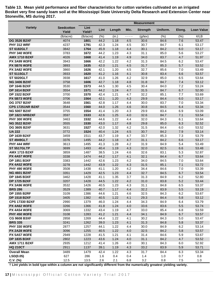**Table 13. Mean yield performance and fiber characteristics for cotton varieties cultivated on an irrigated Bosket very fine sandy loam soil at the Mississippi State University Delta Research and Extension Center near Stoneville, MS during 2017.** 

|                                                |                            |                            | <b>Measurement</b> |              |            |                 |              |            |                   |
|------------------------------------------------|----------------------------|----------------------------|--------------------|--------------|------------|-----------------|--------------|------------|-------------------|
| <b>Variety</b>                                 | <b>Seedcotton</b><br>Yield | Lint<br>Yield <sup>+</sup> | Lint               | Length       | Mic.       | <b>Strength</b> | Uniform.     | Elong.     | <b>Loan Value</b> |
|                                                | (lb/acre)                  | (lb/acre)                  | (%)                | (in.)        | - - - -    | $(g$ /tex $)$   | (%)          | (% )       | ¢/LB              |
| <b>DG 3526 B2XF</b>                            | 4074                       | 1801                       | 44.2               | 1.18         | 4.5        | 30.6            | 84.6         | 7.6        | 53.47             |
| <b>PHY 312 WRF</b>                             | 4237                       | 1791                       | 42.3               | 1.24         | 4.5        | 30.7            | 84.7         | 6.1        | 53.17             |
| <b>ST 6182GLT</b>                              | 3842                       | 1764                       | 45.9               | 1.18         | 4.4        | 30.1            | 84.2         | 6.0        | 53.17             |
| <b>PHY 340 W3FE</b>                            | 3783                       | 1672                       | 44.2               | 1.23         | 4.3        | 31.1            | 85.0         | 5.6        | 53.27             |
| <b>AMX 1710 B2XF</b>                           | 4026                       | 1668                       | 41.4               | 1.19         | 4.9        | 34.0            | 83.7         | 4.7        | 51.97             |
| <b>PX 3A99 W3FE</b>                            | 3943                       | 1666                       | 42.2               | 1.22         | 4.2        | 31.3            | 84.5         | 6.2        | 53.47             |
| <b>PX 5B76 W3FE</b>                            | 3893                       | 1635                       | 42.0               | 1.21         | 4.5        | 31.7            | 85.3         | 5.7        | 53.52             |
| <b>PX 3A82 W3FE</b>                            | 3860                       | 1626                       | 42.1               | 1.20         | 4.5        | 32.7            | 85.6         | 7.0        | 53.49             |
| <b>ST 5115GLT</b>                              | 3933                       | 1620                       | 41.2               | 1.16         | 4.1        | 30.8            | 83.4         | 6.6        | 53.57             |
| <b>ST 5020GLT</b>                              | 3938                       | 1617                       | 41.0               | 1.26         | 4.2        | 32.9            | 85.0         | 6.5        | 53.64             |
| <b>NG 3406 B2XF</b>                            | 3758                       | 1606                       | 42.7               | 1.18         | 4.8        | 31.8            | 84.7         | 7.4        | 53.12             |
| <b>DP 1646 B2XF</b>                            | 3530                       | 1573                       | 44.5               | 1.30         | 4.5        | 30.4            | 84.0         | 7.2        | 53.24             |
| <b>DP 1614 B2XF</b>                            | 3554                       | 1571                       | 44.2               | 1.24         | 4.7        | 31.5            | 84.7         | 6.7        | 52.00             |
| <b>DP 1522 B2XF</b>                            | 3700                       | 1570                       | 42.4               | 1.21         | 4.7        | 32.2            | 85.1         | 7.7        | 53.69             |
| <b>PX 5B73 W3FE</b>                            | 3706                       | 1564                       | 42.1               | 1.20         | 4.3        | 29.9            | 84.4         | 6.0        | 53.17             |
| <b>DG 3757 B2XF</b><br><b>CPS 17251NR B2XF</b> | 3648                       | 1561                       | 42.8               | 1.17         | 4.4        | 30.0            | 83.7         | 7.0        | 53.34             |
|                                                | 3544<br>3755               | 1560<br>1554               | 44.0               | 1.26         | 4.6<br>4.3 | 30.8            | 84.5<br>83.4 | 6.4<br>6.9 | 53.34             |
| <b>NG 5007 B2XF</b><br>DP 1823 NRB2XF          | 3597                       | 1533                       | 41.4<br>42.6       | 1.20<br>1.25 | 4.0        | 29.9<br>32.6    | 84.7         | 7.1        | 53.09<br>53.54    |
| <b>PHY 300 W3FE</b>                            | 3463                       | 1532                       | 44.6               | 1.22         | 4.4        | 32.0            | 84.3         | 6.1        | 53.64             |
| <b>NG 3522 B2XF</b>                            | 3555                       | 1530                       | 43.0               | 1.17         | 4.8        | 29.8            | 85.0         | 6.3        | 52.52             |
| <b>DG 3605 B2XF</b>                            | 3631                       | 1527                       | 42.0               | 1.32         | 4.2        | 31.5            | 84.4         | 6.0        | 53.52             |
| <b>UA 222</b>                                  | 3772                       | 1524                       | 40.4               | 1.24         | 4.5        | 30.7            | 84.2         | 7.9        | 53.14             |
| <b>DP 1639 B2XF</b>                            | 3459                       | 1511                       | 43.7               | 1.19         | 4.7        | 33.7            | 85.3         | 7.3        | 53.79             |
| <b>ST 4949GLT</b>                              | 3376                       | 1495                       | 44.2               | 1.18         | 4.7        | 31.1            | 84.2         | 6.6        | 53.17             |
| PHY 444 WRF                                    | 3613                       | 1495                       | 41.3               | 1.28         | 4.2        | 31.9            | 84.9         | 5.4        | 53.49             |
| <b>ST 5517GLTP</b>                             | 3699                       | 1493                       | 40.4               | 1.19         | 4.3        | 32.0            | 82.5         | 6.6        | 53.48             |
| <b>AMX 1715 B2XF</b>                           | 3859                       | 1487                       | 38.5               | 1.24         | 4.6        | 32.6            | 83.1         | 5.3        | 52.87             |
| <b>PX 4A57 W3FE</b>                            | 3338                       | 1474                       | 44.2               | 1.17         | 4.1        | 32.1            | 84.4         | 6.7        | 53.64             |
| DP 1851 B3XF                                   | 3383                       | 1442                       | 42.6               | 1.23         | 4.2        | 34.0            | 84.5         | 7.0        | 53.64             |
| <b>PX 4A52 W3FE</b>                            | 3278                       | 1442                       | 43.9               | 1.22         | 4.3        | 31.5            | 85.1         | 7.1        | 53.72             |
| <b>PHY 490 W3FE</b>                            | 3508                       | 1438                       | 41.1               | 1.20         | 4.2        | 34.4            | 84.6         | 7.0        | 53.39             |
| <b>NG 4601 B2XF</b>                            | 3351                       | 1429                       | 42.5               | 1.23         | 4.4        | 32.7            | 84.5         | 6.7        | 53.54             |
| <b>DP 1845 B3XF</b>                            | 3462                       | 1428                       | 41.1               | 1.35         | 3.7        | 31.3            | 84.9         | 6.2        | 52.80             |
| <b>DP 1725 B2XF</b>                            | 3207                       | 1428                       | 44.5               | 1.22         | 4.2        | 31.0            | 83.8         | $5.2$      | 53.44             |
| <b>PX 3A96 W3FE</b>                            | 3532                       | 1426                       | 40.5               | 1.23         | 4.3        | 31.1            | 84.8         | 6.5        | 53.37             |
| <b>BRS 286</b>                                 | 3529                       | 1389                       | 40.7               | 1.17         | 4.4        | 32.2            | 83.9         | 5.5        | 53.19             |
| <b>DP 1555 B2RF</b>                            | 3109                       | 1386                       | 44.6               | 1.21         | 4.6        | 32.5            | 84.3         | 6.2        | 53.67             |
| <b>DP 1518 B2XF</b>                            | 3405                       | 1382                       | 40.5               | 1.22         | 4.1        | 29.3            | 84.4         | 5.8        | 53.12             |
| <b>CPS 17330 B2XF</b>                          | 2990                       | 1379                       | 46.0               | 1.24         | 4.4        | 34.3            | 84.9         | 6.4        | 53.79             |
| <b>PX 4A62 W3FE</b>                            | 3266                       | 1366                       | 41.8               | 1.24         | 4.0        | 33.6            | 83.6         | $5.5\,$    | 53.74             |
| <b>PX 4A54 W3FE</b>                            | 3069                       | 1332                       | 43.4               | 1.19         | 4.7        | 33.0            | 85.4         | 6.8        | 53.59             |
| <b>PHY 450 W3FE</b><br><b>CG 9608 B3XF</b>     | 3108<br>2858               | 1283<br>1269               | 41.2<br>44.4       | 1.21         | 4.4        | 34.1<br>30.2    | 84.9<br>84.3 | 6.7<br>5.0 | 53.57<br>53.47    |
| <b>BRS 335</b>                                 | 3241                       | 1262                       | 39.0               | 1.22<br>1.23 | 4.1<br>4.1 | 31.3            | 84.8         | 5.8        | 53.37             |
| <b>PHY 330 W3FE</b>                            | 2877                       | 1257                       | 44.1               | 1.22         | 4.4        | 30.0            | 84.9         | 6.2        | 53.14             |
| <b>PX 2A28 W3FE</b>                            | 3096                       | 1255                       | 40.5               | 1.22         | 4.0        | 32.5            | 84.2         | 5.8        | 53.57             |
| <b>PX 5A57 W3FE</b>                            | 2949                       | 1228                       | 41.5               | 1.21         | 4.1        | 31.4            | 84.6         | 5.9        | 53.67             |
| <b>DP 1835 B3XF</b>                            | 2802                       | 1223                       | 43.6               | 1.24         | 4.0        | 31.1            | 84.2         | 4.7        | 53.52             |
| <b>AMX 1711 B2XF</b>                           | 2935                       | 1212                       | 41.4               | 1.26         | 4.0        | 30.1            | 84.3         | 6.0        | 52.92             |
| <b>HQ 210CT</b>                                | 2911                       | 1137                       | 39.1               | 1.19         | 4.3        | 33.2            | 83.9         | 5.9        | 53.71             |
| <b>Overall Mean</b>                            | 3489                       | 1479                       | 42.4               | 1.22         | 4.3        | 31.7            | 84.4         | 6.3        | 53.34             |
| LSD(0.05)                                      | 627                        | 286                        | 1.6                | 0.4          | 0.4        | $1.4$           | $1.0$        | 0.7        | 0.8               |
| $C.V.$ (%)                                     | 12.5                       | 13.5                       | 2.6                | 2.1          | 6.8        | 3.2             | 0.8          | 7.5        | 1.0               |
|                                                |                            |                            |                    |              |            |                 |              |            |                   |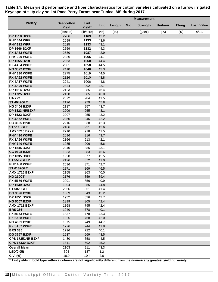|                                            |                            | <b>Measurement</b>         |              |        |      |                 |          |        |                     |
|--------------------------------------------|----------------------------|----------------------------|--------------|--------|------|-----------------|----------|--------|---------------------|
| <b>Variety</b>                             | <b>Seedcotton</b><br>Yield | Lint<br>Yield <sup>+</sup> | Lint         | Length | Mic. | <b>Strength</b> | Uniform. | Elong. | <b>Loan Value</b>   |
|                                            | (lb/acre)                  | (lb/acre)                  | (% )         | (in.)  | ---- | $(g$ /tex $)$   | (%)      | (%)    | $\sqrt{\epsilon/B}$ |
| <b>DP 1518 B2XF</b>                        | 2706                       | 1169                       | 43.2         |        |      |                 |          |        |                     |
| <b>PHY 444 WRF</b>                         | 2599                       | 1133                       | 43.6         |        |      |                 |          |        |                     |
| PHY 312 WRF                                | 2625                       | 1133                       | 43.1         |        |      |                 |          |        |                     |
| <b>DP 1646 B2XF</b>                        | 2559                       | 1132                       | 44.3         |        |      |                 |          |        |                     |
| PX 3A82 W3FE                               | 2530                       | 1087                       | 42.9         |        |      |                 |          |        |                     |
| <b>PHY 300 W3FE</b>                        | 2386                       | 1065                       | 44.7         |        |      |                 |          |        |                     |
| <b>DP 1555 B2RF</b>                        | 2363                       | 1060                       | 44.4         |        |      |                 |          |        |                     |
| <b>PX 4A54 W3FE</b>                        | 2381                       | 1058                       | 44.5         |        |      |                 |          |        |                     |
| <b>NG 3522 B2XF</b>                        | 2410                       | 1046                       | 43.3         |        |      |                 |          |        |                     |
| <b>PHY 330 W3FE</b>                        | 2275                       | 1019                       | 44.5         |        |      |                 |          |        |                     |
| <b>PX 4A62 W3FE</b>                        | 2326                       | 1010                       | 43.8         |        |      |                 |          |        |                     |
| <b>PX 4A57 W3FE</b>                        | 2241                       | 1006                       | 44.8         |        |      |                 |          |        |                     |
| <b>PX 3A99 W3FE</b>                        | 2324                       | 992                        | 42.7         |        |      |                 |          |        |                     |
| <b>DP 1614 B2XF</b>                        | 2123                       | 985                        | 46.4         |        |      |                 |          |        |                     |
| <b>DP 1725 B2XF</b>                        | 2138                       | 985                        | 46.0         |        |      |                 |          |        |                     |
| <b>UA 222</b>                              | 2372                       | 984                        | 41.5         |        |      |                 |          |        |                     |
| <b>ST 4949GLT</b>                          | 2126                       | 979                        | 45.8         |        |      |                 |          |        |                     |
| <b>NG 3406 B2XF</b>                        | 2187                       | 957                        | 43.7         |        |      |                 |          |        |                     |
| <b>DP 1823 NRB2XF</b>                      | 2209                       | 955                        | 43.1         |        |      |                 |          |        |                     |
| <b>DP 1522 B2XF</b>                        | 2207                       | 955                        | 43.2         |        |      |                 |          |        |                     |
| <b>PX 4A52 W3FE</b>                        | 2250                       | 946                        | 42.2         |        |      |                 |          |        |                     |
| <b>DG 3605 B2XF</b>                        | 2216                       | 938                        | 42.3         |        |      |                 |          |        |                     |
| <b>ST 5115GLT</b>                          | 2186                       | 931                        | 42.6         |        |      |                 |          |        |                     |
| <b>AMX 1710 B2XF</b>                       | 2210                       | 918                        | 41.5         |        |      |                 |          |        |                     |
| <b>PHY 490 W3FE</b>                        | 2096                       | 916                        | 43.7         |        |      |                 |          |        |                     |
| <b>PX 3A96 W3FE</b>                        | 2166                       | 913                        | 42.1         |        |      |                 |          |        |                     |
| <b>PHY 340 W3FE</b>                        | 1985                       | 906                        | 45.6         |        |      |                 |          |        |                     |
| <b>DP 1845 B3XF</b>                        | 2040                       | 886                        | 43.1         |        |      |                 |          |        |                     |
| <b>CG 9608 B3XF</b>                        | 1933                       | 883                        | 45.6         |        |      |                 |          |        |                     |
| <b>DP 1835 B3XF</b>                        | 1928                       | 877                        | 45.5         |        |      |                 |          |        |                     |
| <b>ST 5517GLTP</b>                         | 2126                       | 872                        | 41.0         |        |      |                 |          |        |                     |
| <b>PHY 450 W3FE</b>                        | 2036                       | 871                        | 42.7         |        |      |                 |          |        |                     |
| <b>ST 6182GLT</b>                          | 1871                       | 869                        | 46.5         |        |      |                 |          |        |                     |
| <b>AMX 1715 B2XF</b>                       | 2155                       | 863                        | 40.0<br>39.4 |        |      |                 |          |        |                     |
| <b>HQ 210CT</b>                            | 2176                       | 859                        |              |        |      |                 |          |        |                     |
| <b>PX 5B76 W3FE</b><br><b>DP 1639 B2XF</b> | 2091<br>1904               | 856<br>855                 | 40.9<br>44.8 |        |      |                 |          |        |                     |
| <b>ST 5020GLT</b>                          | 2056                       | 851                        | 41.4         |        |      |                 |          |        |                     |
| <b>DG 3526 B2XF</b>                        | 1869                       | 843                        | 45.2         |        |      |                 |          |        |                     |
| <b>DP 1851 B3XF</b>                        | 1932                       | 826                        | 42.7         |        |      |                 |          |        |                     |
| <b>NG 5007 B2XF</b>                        | 1899                       | 805                        | 42.4         |        |      |                 |          |        |                     |
| <b>AMX 1711 B2XF</b>                       | 1868                       | 795                        | 42.4         |        |      |                 |          |        |                     |
| <b>BRS 286</b>                             | 1940                       | 778                        | 40.1         |        |      |                 |          |        |                     |
| <b>PX 5B73 W3FE</b>                        | 1837                       | 778                        | 42.3         |        |      |                 |          |        |                     |
| <b>PX 2A28 W3FE</b>                        | 1825                       | 768                        | 42.0         |        |      |                 |          |        |                     |
| <b>NG 4601 B2XF</b>                        | 1675                       | 749                        | 44.7         |        |      |                 |          |        |                     |
| <b>PX 5A57 W3FE</b>                        | 1776                       | 744                        | 41.8         |        |      |                 |          |        |                     |
| <b>BRS 335</b>                             | 1796                       | 722                        | 40.1         |        |      |                 |          |        |                     |
| <b>DG 3757 B2XF</b>                        | 1537                       | 669                        | 43.5         |        |      |                 |          |        |                     |
| <b>CPS 17251NR B2XF</b>                    | 1480                       | 658                        | 44.5         |        |      |                 |          |        |                     |
| <b>CPS 17330 B2XF</b>                      | 1311                       | 592                        | 45.2         |        |      |                 |          |        |                     |
| <b>Overall Mean</b>                        | 2103                       | 911                        | 43.3         |        |      |                 |          |        |                     |
| LSD(0.05)                                  | 304                        | 137                        | 1.2          |        |      |                 |          |        |                     |
| $C.V.$ (%)                                 | 10.0                       | 10.4                       | 2.0          |        |      |                 |          |        |                     |

**Table 14. Mean yield performance and fiber characteristics for cotton varieties cultivated on a furrow irrigated Keyespoint silty clay soil at Pace Perry Farms near Tunica, MS during 2017.**